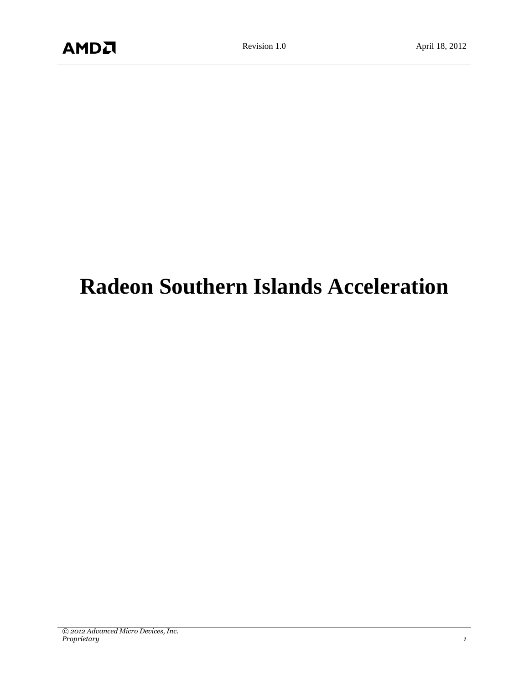# **Radeon Southern Islands Acceleration**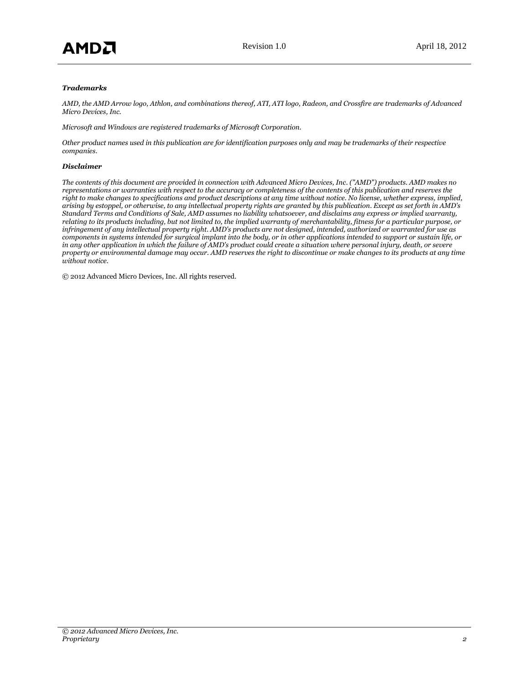#### *Trademarks*

*AMD, the AMD Arrow logo, Athlon, and combinations thereof, ATI, ATI logo, Radeon, and Crossfire are trademarks of Advanced Micro Devices, Inc.*

*Microsoft and Windows are registered trademarks of Microsoft Corporation.*

*Other product names used in this publication are for identification purposes only and may be trademarks of their respective companies.*

#### *Disclaimer*

*The contents of this document are provided in connection with Advanced Micro Devices, Inc. ("AMD") products. AMD makes no representations or warranties with respect to the accuracy or completeness of the contents of this publication and reserves the right to make changes to specifications and product descriptions at any time without notice. No license, whether express, implied, arising by estoppel, or otherwise, to any intellectual property rights are granted by this publication. Except as set forth in AMD's Standard Terms and Conditions of Sale, AMD assumes no liability whatsoever, and disclaims any express or implied warranty, relating to its products including, but not limited to, the implied warranty of merchantability, fitness for a particular purpose, or infringement of any intellectual property right. AMD's products are not designed, intended, authorized or warranted for use as components in systems intended for surgical implant into the body, or in other applications intended to support or sustain life, or in any other application in which the failure of AMD's product could create a situation where personal injury, death, or severe property or environmental damage may occur. AMD reserves the right to discontinue or make changes to its products at any time without notice.*

© 2012 Advanced Micro Devices, Inc. All rights reserved.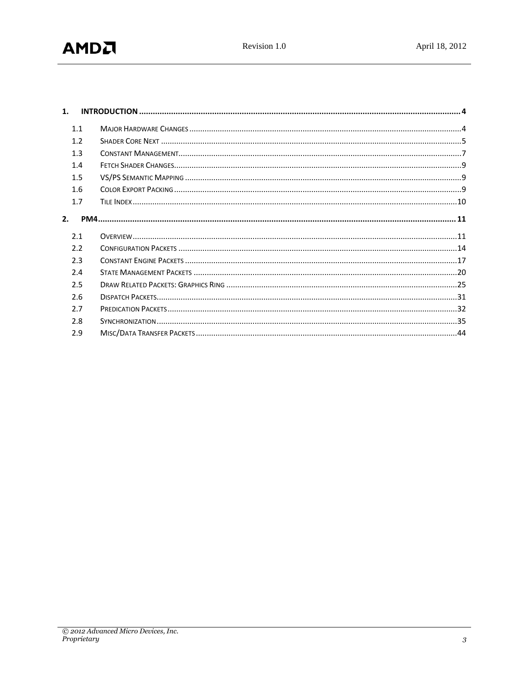| $\mathbf{1}$ . |  |  |  |
|----------------|--|--|--|
| 1.1            |  |  |  |
| 1.2            |  |  |  |
| 1.3            |  |  |  |
| 1.4            |  |  |  |
| 1.5            |  |  |  |
| 1.6            |  |  |  |
| 1.7            |  |  |  |
|                |  |  |  |
| 2.1            |  |  |  |
| 2.2            |  |  |  |
| 2.3            |  |  |  |
| 2.4            |  |  |  |
| 2.5            |  |  |  |
| 2.6            |  |  |  |
| 2.7            |  |  |  |
| 2.8            |  |  |  |
| 2.9            |  |  |  |
|                |  |  |  |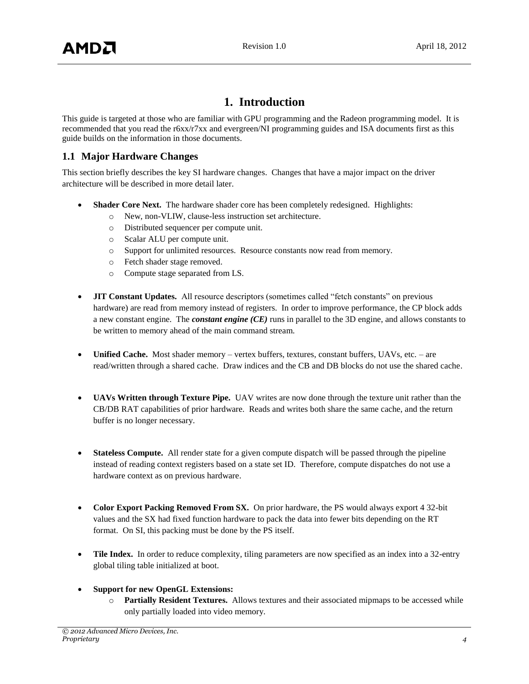## **1. Introduction**

<span id="page-3-0"></span>This guide is targeted at those who are familiar with GPU programming and the Radeon programming model. It is recommended that you read the r6xx/r7xx and evergreen/NI programming guides and ISA documents first as this guide builds on the information in those documents.

## <span id="page-3-1"></span>**1.1 Major Hardware Changes**

This section briefly describes the key SI hardware changes. Changes that have a major impact on the driver architecture will be described in more detail later.

- **Shader Core Next.** The hardware shader core has been completely redesigned. Highlights:
	- o New, non-VLIW, clause-less instruction set architecture.
	- o Distributed sequencer per compute unit.
	- o Scalar ALU per compute unit.
	- o Support for unlimited resources. Resource constants now read from memory.
	- o Fetch shader stage removed.
	- o Compute stage separated from LS.
- **JIT Constant Updates.** All resource descriptors (sometimes called "fetch constants" on previous hardware) are read from memory instead of registers. In order to improve performance, the CP block adds a new constant engine. The *constant engine (CE)* runs in parallel to the 3D engine, and allows constants to be written to memory ahead of the main command stream.
- **Unified Cache.** Most shader memory vertex buffers, textures, constant buffers, UAVs, etc. are read/written through a shared cache. Draw indices and the CB and DB blocks do not use the shared cache.
- **UAVs Written through Texture Pipe.** UAV writes are now done through the texture unit rather than the CB/DB RAT capabilities of prior hardware. Reads and writes both share the same cache, and the return buffer is no longer necessary.
- **Stateless Compute.** All render state for a given compute dispatch will be passed through the pipeline instead of reading context registers based on a state set ID. Therefore, compute dispatches do not use a hardware context as on previous hardware.
- **Color Export Packing Removed From SX.** On prior hardware, the PS would always export 4 32-bit values and the SX had fixed function hardware to pack the data into fewer bits depending on the RT format. On SI, this packing must be done by the PS itself.
- **Tile Index.** In order to reduce complexity, tiling parameters are now specified as an index into a 32-entry global tiling table initialized at boot.
- **Support for new OpenGL Extensions:**
	- o **Partially Resident Textures.** Allows textures and their associated mipmaps to be accessed while only partially loaded into video memory.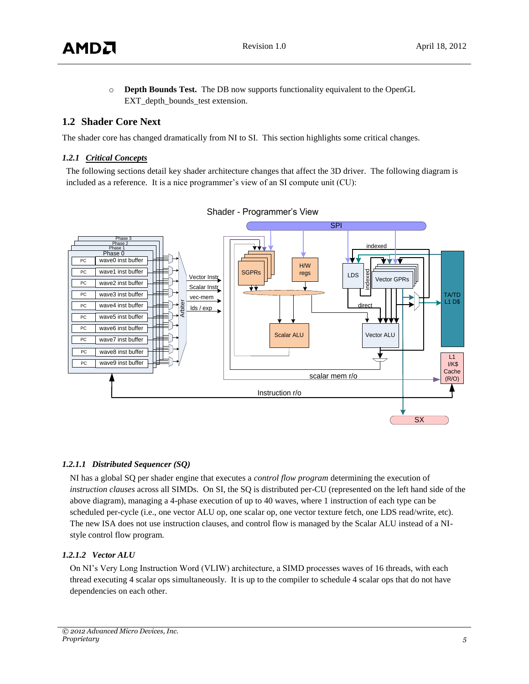

o **Depth Bounds Test.** The DB now supports functionality equivalent to the OpenGL EXT depth bounds test extension.

## <span id="page-4-0"></span>**1.2 Shader Core Next**

The shader core has changed dramatically from NI to SI. This section highlights some critical changes.

#### *1.2.1 Critical Concepts*

The following sections detail key shader architecture changes that affect the 3D driver. The following diagram is included as a reference. It is a nice programmer's view of an SI compute unit (CU):



## *1.2.1.1 Distributed Sequencer (SQ)*

NI has a global SQ per shader engine that executes a *control flow program* determining the execution of *instruction clauses* across all SIMDs. On SI, the SQ is distributed per-CU (represented on the left hand side of the above diagram), managing a 4-phase execution of up to 40 waves, where 1 instruction of each type can be scheduled per-cycle (i.e., one vector ALU op, one scalar op, one vector texture fetch, one LDS read/write, etc). The new ISA does not use instruction clauses, and control flow is managed by the Scalar ALU instead of a NIstyle control flow program.

#### *1.2.1.2 Vector ALU*

On NI's Very Long Instruction Word (VLIW) architecture, a SIMD processes waves of 16 threads, with each thread executing 4 scalar ops simultaneously. It is up to the compiler to schedule 4 scalar ops that do not have dependencies on each other.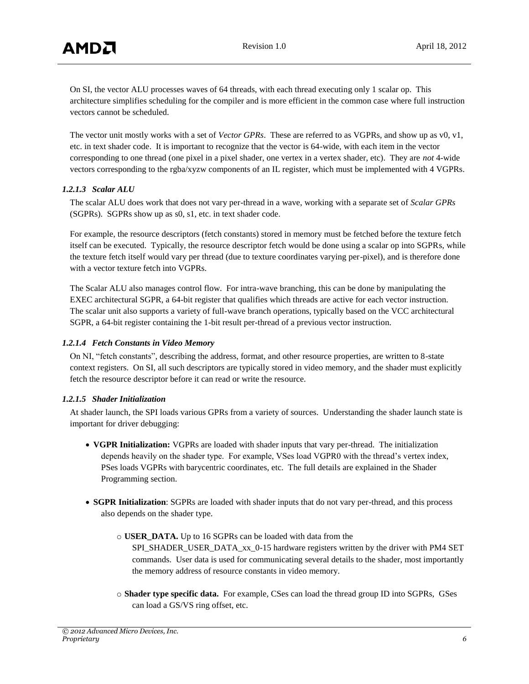On SI, the vector ALU processes waves of 64 threads, with each thread executing only 1 scalar op. This architecture simplifies scheduling for the compiler and is more efficient in the common case where full instruction vectors cannot be scheduled.

The vector unit mostly works with a set of *Vector GPRs*. These are referred to as VGPRs, and show up as v0, v1, etc. in text shader code. It is important to recognize that the vector is 64-wide, with each item in the vector corresponding to one thread (one pixel in a pixel shader, one vertex in a vertex shader, etc). They are *not* 4-wide vectors corresponding to the rgba/xyzw components of an IL register, which must be implemented with 4 VGPRs.

#### *1.2.1.3 Scalar ALU*

The scalar ALU does work that does not vary per-thread in a wave, working with a separate set of *Scalar GPRs*  (SGPRs). SGPRs show up as s0, s1, etc. in text shader code.

For example, the resource descriptors (fetch constants) stored in memory must be fetched before the texture fetch itself can be executed. Typically, the resource descriptor fetch would be done using a scalar op into SGPRs, while the texture fetch itself would vary per thread (due to texture coordinates varying per-pixel), and is therefore done with a vector texture fetch into VGPRs.

The Scalar ALU also manages control flow. For intra-wave branching, this can be done by manipulating the EXEC architectural SGPR, a 64-bit register that qualifies which threads are active for each vector instruction. The scalar unit also supports a variety of full-wave branch operations, typically based on the VCC architectural SGPR, a 64-bit register containing the 1-bit result per-thread of a previous vector instruction.

#### *1.2.1.4 Fetch Constants in Video Memory*

On NI, "fetch constants", describing the address, format, and other resource properties, are written to 8-state context registers. On SI, all such descriptors are typically stored in video memory, and the shader must explicitly fetch the resource descriptor before it can read or write the resource.

#### *1.2.1.5 Shader Initialization*

At shader launch, the SPI loads various GPRs from a variety of sources. Understanding the shader launch state is important for driver debugging:

- **VGPR Initialization:** VGPRs are loaded with shader inputs that vary per-thread. The initialization depends heavily on the shader type. For example, VSes load VGPR0 with the thread's vertex index, PSes loads VGPRs with barycentric coordinates, etc. The full details are explained in the Shader Programming section.
- **SGPR Initialization**: SGPRs are loaded with shader inputs that do not vary per-thread, and this process also depends on the shader type.
	- o **USER\_DATA.** Up to 16 SGPRs can be loaded with data from the

SPI\_SHADER\_USER\_DATA\_xx\_0-15 hardware registers written by the driver with PM4 SET commands. User data is used for communicating several details to the shader, most importantly the memory address of resource constants in video memory.

o **Shader type specific data.** For example, CSes can load the thread group ID into SGPRs, GSes can load a GS/VS ring offset, etc.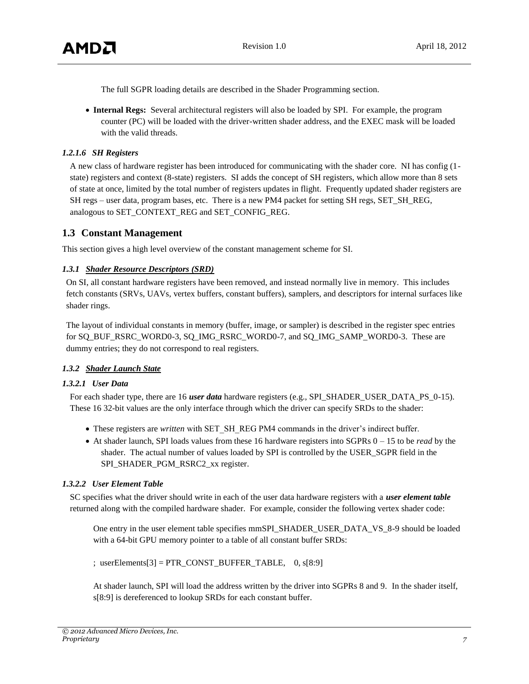

The full SGPR loading details are described in the Shader Programming section.

 **Internal Regs:** Several architectural registers will also be loaded by SPI. For example, the program counter (PC) will be loaded with the driver-written shader address, and the EXEC mask will be loaded with the valid threads.

#### *1.2.1.6 SH Registers*

A new class of hardware register has been introduced for communicating with the shader core. NI has config (1 state) registers and context (8-state) registers. SI adds the concept of SH registers, which allow more than 8 sets of state at once, limited by the total number of registers updates in flight. Frequently updated shader registers are SH regs – user data, program bases, etc. There is a new PM4 packet for setting SH regs, SET\_SH\_REG, analogous to SET\_CONTEXT\_REG and SET\_CONFIG\_REG.

## <span id="page-6-0"></span>**1.3 Constant Management**

This section gives a high level overview of the constant management scheme for SI.

#### *1.3.1 Shader Resource Descriptors (SRD)*

On SI, all constant hardware registers have been removed, and instead normally live in memory. This includes fetch constants (SRVs, UAVs, vertex buffers, constant buffers), samplers, and descriptors for internal surfaces like shader rings.

The layout of individual constants in memory (buffer, image, or sampler) is described in the register spec entries for SQ\_BUF\_RSRC\_WORD0-3, SQ\_IMG\_RSRC\_WORD0-7, and SQ\_IMG\_SAMP\_WORD0-3. These are dummy entries; they do not correspond to real registers.

#### *1.3.2 Shader Launch State*

#### *1.3.2.1 User Data*

For each shader type, there are 16 *user data* hardware registers (e.g., SPI\_SHADER\_USER\_DATA\_PS\_0-15). These 16 32-bit values are the only interface through which the driver can specify SRDs to the shader:

- These registers are *written* with SET\_SH\_REG PM4 commands in the driver's indirect buffer.
- At shader launch, SPI loads values from these 16 hardware registers into SGPRs 0 15 to be *read* by the shader. The actual number of values loaded by SPI is controlled by the USER\_SGPR field in the SPI\_SHADER\_PGM\_RSRC2\_xx register.

#### *1.3.2.2 User Element Table*

SC specifies what the driver should write in each of the user data hardware registers with a *user element table* returned along with the compiled hardware shader. For example, consider the following vertex shader code:

One entry in the user element table specifies mmSPI\_SHADER\_USER\_DATA\_VS\_8-9 should be loaded with a 64-bit GPU memory pointer to a table of all constant buffer SRDs:

; userElements $[3] = PTR$  CONST BUFFER TABLE, 0, s $[8:9]$ 

At shader launch, SPI will load the address written by the driver into SGPRs 8 and 9. In the shader itself, s[8:9] is dereferenced to lookup SRDs for each constant buffer.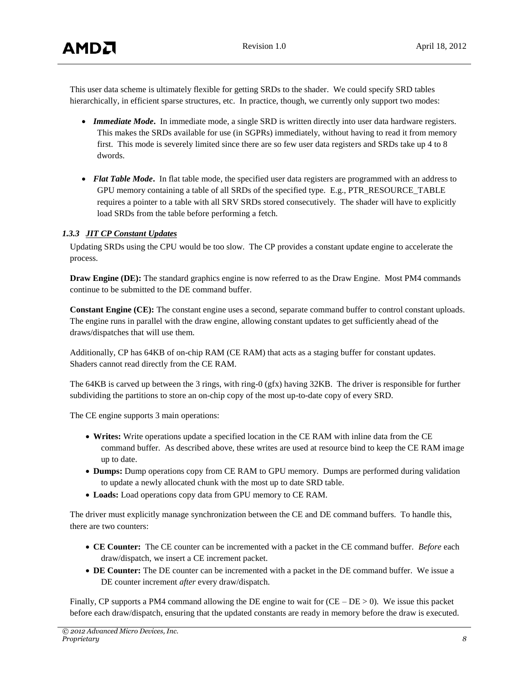This user data scheme is ultimately flexible for getting SRDs to the shader. We could specify SRD tables hierarchically, in efficient sparse structures, etc. In practice, though, we currently only support two modes:

- *Immediate Mode***.** In immediate mode, a single SRD is written directly into user data hardware registers. This makes the SRDs available for use (in SGPRs) immediately, without having to read it from memory first. This mode is severely limited since there are so few user data registers and SRDs take up 4 to 8 dwords.
- *Flat Table Mode***.** In flat table mode, the specified user data registers are programmed with an address to GPU memory containing a table of all SRDs of the specified type. E.g., PTR\_RESOURCE\_TABLE requires a pointer to a table with all SRV SRDs stored consecutively. The shader will have to explicitly load SRDs from the table before performing a fetch.

#### *1.3.3 JIT CP Constant Updates*

Updating SRDs using the CPU would be too slow. The CP provides a constant update engine to accelerate the process.

**Draw Engine (DE):** The standard graphics engine is now referred to as the Draw Engine. Most PM4 commands continue to be submitted to the DE command buffer.

**Constant Engine (CE):** The constant engine uses a second, separate command buffer to control constant uploads. The engine runs in parallel with the draw engine, allowing constant updates to get sufficiently ahead of the draws/dispatches that will use them.

Additionally, CP has 64KB of on-chip RAM (CE RAM) that acts as a staging buffer for constant updates. Shaders cannot read directly from the CE RAM.

The 64KB is carved up between the 3 rings, with ring-0 (gfx) having 32KB. The driver is responsible for further subdividing the partitions to store an on-chip copy of the most up-to-date copy of every SRD.

The CE engine supports 3 main operations:

- **Writes:** Write operations update a specified location in the CE RAM with inline data from the CE command buffer. As described above, these writes are used at resource bind to keep the CE RAM image up to date.
- **Dumps:** Dump operations copy from CE RAM to GPU memory. Dumps are performed during validation to update a newly allocated chunk with the most up to date SRD table.
- **Loads:** Load operations copy data from GPU memory to CE RAM.

The driver must explicitly manage synchronization between the CE and DE command buffers. To handle this, there are two counters:

- **CE Counter:** The CE counter can be incremented with a packet in the CE command buffer. *Before* each draw/dispatch, we insert a CE increment packet.
- **DE Counter:** The DE counter can be incremented with a packet in the DE command buffer. We issue a DE counter increment *after* every draw/dispatch.

Finally, CP supports a PM4 command allowing the DE engine to wait for  $(CE - DE > 0)$ . We issue this packet before each draw/dispatch, ensuring that the updated constants are ready in memory before the draw is executed.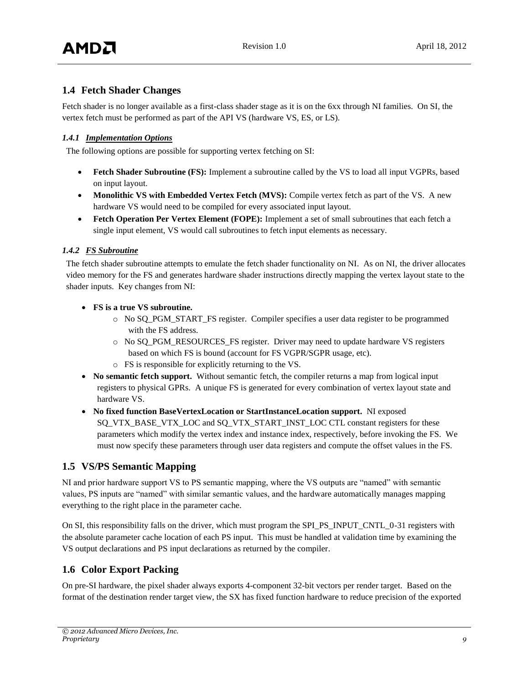## <span id="page-8-0"></span>**1.4 Fetch Shader Changes**

Fetch shader is no longer available as a first-class shader stage as it is on the 6xx through NI families. On SI, the vertex fetch must be performed as part of the API VS (hardware VS, ES, or LS).

## *1.4.1 Implementation Options*

The following options are possible for supporting vertex fetching on SI:

- **Fetch Shader Subroutine (FS):** Implement a subroutine called by the VS to load all input VGPRs, based on input layout.
- **Monolithic VS with Embedded Vertex Fetch (MVS):** Compile vertex fetch as part of the VS. A new hardware VS would need to be compiled for every associated input layout.
- **Fetch Operation Per Vertex Element (FOPE):** Implement a set of small subroutines that each fetch a single input element, VS would call subroutines to fetch input elements as necessary.

## *1.4.2 FS Subroutine*

The fetch shader subroutine attempts to emulate the fetch shader functionality on NI. As on NI, the driver allocates video memory for the FS and generates hardware shader instructions directly mapping the vertex layout state to the shader inputs. Key changes from NI:

- **FS is a true VS subroutine.**
	- o No SQ\_PGM\_START\_FS register. Compiler specifies a user data register to be programmed with the FS address.
	- o No SQ\_PGM\_RESOURCES\_FS register. Driver may need to update hardware VS registers based on which FS is bound (account for FS VGPR/SGPR usage, etc).
	- o FS is responsible for explicitly returning to the VS.
- **No semantic fetch support.** Without semantic fetch, the compiler returns a map from logical input registers to physical GPRs. A unique FS is generated for every combination of vertex layout state and hardware VS.
- **No fixed function BaseVertexLocation or StartInstanceLocation support.** NI exposed SQ\_VTX\_BASE\_VTX\_LOC and SQ\_VTX\_START\_INST\_LOC CTL constant registers for these parameters which modify the vertex index and instance index, respectively, before invoking the FS. We must now specify these parameters through user data registers and compute the offset values in the FS.

## <span id="page-8-1"></span>**1.5 VS/PS Semantic Mapping**

NI and prior hardware support VS to PS semantic mapping, where the VS outputs are "named" with semantic values, PS inputs are "named" with similar semantic values, and the hardware automatically manages mapping everything to the right place in the parameter cache.

On SI, this responsibility falls on the driver, which must program the SPI\_PS\_INPUT\_CNTL\_0-31 registers with the absolute parameter cache location of each PS input. This must be handled at validation time by examining the VS output declarations and PS input declarations as returned by the compiler.

## <span id="page-8-2"></span>**1.6 Color Export Packing**

On pre-SI hardware, the pixel shader always exports 4-component 32-bit vectors per render target. Based on the format of the destination render target view, the SX has fixed function hardware to reduce precision of the exported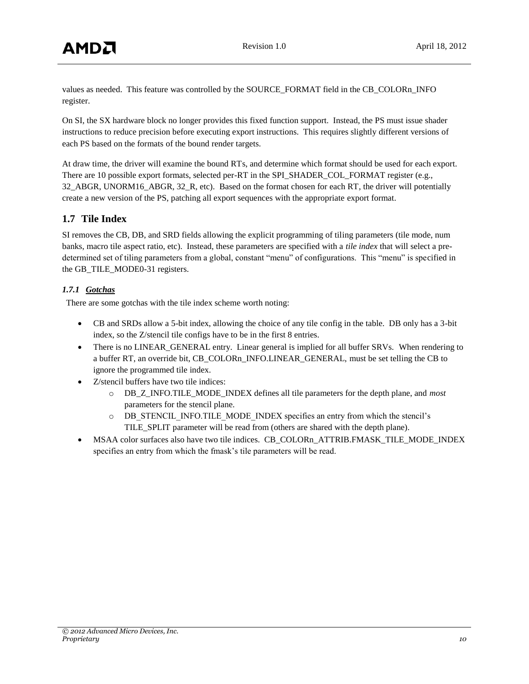values as needed. This feature was controlled by the SOURCE\_FORMAT field in the CB\_COLORn\_INFO register.

On SI, the SX hardware block no longer provides this fixed function support. Instead, the PS must issue shader instructions to reduce precision before executing export instructions. This requires slightly different versions of each PS based on the formats of the bound render targets.

At draw time, the driver will examine the bound RTs, and determine which format should be used for each export. There are 10 possible export formats, selected per-RT in the SPI\_SHADER\_COL\_FORMAT register (e.g., 32\_ABGR, UNORM16\_ABGR, 32\_R, etc). Based on the format chosen for each RT, the driver will potentially create a new version of the PS, patching all export sequences with the appropriate export format.

## <span id="page-9-0"></span>**1.7 Tile Index**

SI removes the CB, DB, and SRD fields allowing the explicit programming of tiling parameters (tile mode, num banks, macro tile aspect ratio, etc). Instead, these parameters are specified with a *tile index* that will select a predetermined set of tiling parameters from a global, constant "menu" of configurations. This "menu" is specified in the GB\_TILE\_MODE0-31 registers.

## *1.7.1 Gotchas*

There are some gotchas with the tile index scheme worth noting:

- CB and SRDs allow a 5-bit index, allowing the choice of any tile config in the table. DB only has a 3-bit index, so the Z/stencil tile configs have to be in the first 8 entries.
- There is no LINEAR\_GENERAL entry. Linear general is implied for all buffer SRVs. When rendering to a buffer RT, an override bit, CB\_COLORn\_INFO.LINEAR\_GENERAL, must be set telling the CB to ignore the programmed tile index.
- Z/stencil buffers have two tile indices:
	- o DB\_Z\_INFO.TILE\_MODE\_INDEX defines all tile parameters for the depth plane, and *most* parameters for the stencil plane.
	- o DB\_STENCIL\_INFO.TILE\_MODE\_INDEX specifies an entry from which the stencil's TILE\_SPLIT parameter will be read from (others are shared with the depth plane).
- MSAA color surfaces also have two tile indices. CB\_COLORn\_ATTRIB.FMASK\_TILE\_MODE\_INDEX specifies an entry from which the fmask's tile parameters will be read.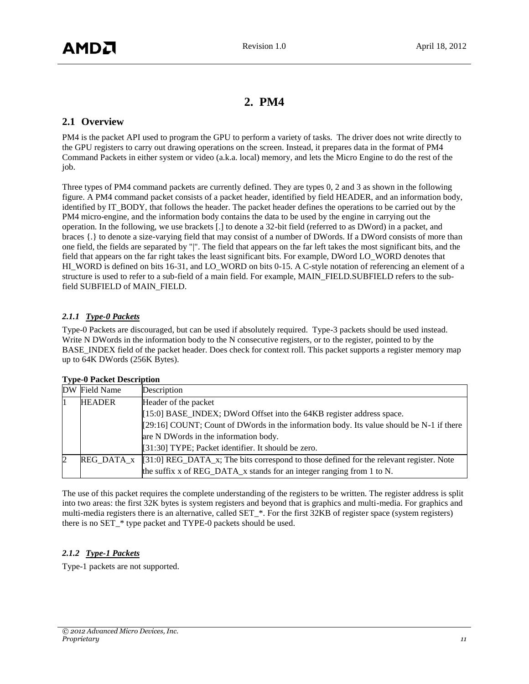## **2. PM4**

## <span id="page-10-1"></span><span id="page-10-0"></span>**2.1 Overview**

PM4 is the packet API used to program the GPU to perform a variety of tasks. The driver does not write directly to the GPU registers to carry out drawing operations on the screen. Instead, it prepares data in the format of PM4 Command Packets in either system or video (a.k.a. local) memory, and lets the Micro Engine to do the rest of the job.

Three types of PM4 command packets are currently defined. They are types 0, 2 and 3 as shown in the following figure. A PM4 command packet consists of a packet header, identified by field HEADER, and an information body, identified by IT\_BODY, that follows the header. The packet header defines the operations to be carried out by the PM4 micro-engine, and the information body contains the data to be used by the engine in carrying out the operation. In the following, we use brackets [.] to denote a 32-bit field (referred to as DWord) in a packet, and braces {.} to denote a size-varying field that may consist of a number of DWords. If a DWord consists of more than one field, the fields are separated by "|". The field that appears on the far left takes the most significant bits, and the field that appears on the far right takes the least significant bits. For example, DWord LO\_WORD denotes that HI\_WORD is defined on bits 16-31, and LO\_WORD on bits 0-15. A C-style notation of referencing an element of a structure is used to refer to a sub-field of a main field. For example, MAIN\_FIELD.SUBFIELD refers to the subfield SUBFIELD of MAIN\_FIELD.

#### *2.1.1 Type-0 Packets*

Type-0 Packets are discouraged, but can be used if absolutely required. Type-3 packets should be used instead. Write N DWords in the information body to the N consecutive registers, or to the register, pointed to by the BASE\_INDEX field of the packet header. Does check for context roll. This packet supports a register memory map up to 64K DWords (256K Bytes).

| DW Field Name | Description                                                                                             |  |
|---------------|---------------------------------------------------------------------------------------------------------|--|
| <b>HEADER</b> | Header of the packet                                                                                    |  |
|               | [15:0] BASE_INDEX; DWord Offset into the 64KB register address space.                                   |  |
|               | $[29:16]$ COUNT; Count of DWords in the information body. Its value should be N-1 if there              |  |
|               | are N DWords in the information body.                                                                   |  |
|               | [31:30] TYPE; Packet identifier. It should be zero.                                                     |  |
|               | $[REG_DATA_x   [31:0] REG_DATA_x;$ The bits correspond to those defined for the relevant register. Note |  |
|               | the suffix x of REG_DATA_x stands for an integer ranging from 1 to N.                                   |  |

#### **Type-0 Packet Description**

The use of this packet requires the complete understanding of the registers to be written. The register address is split into two areas: the first 32K bytes is system registers and beyond that is graphics and multi-media. For graphics and multi-media registers there is an alternative, called SET\_\*. For the first 32KB of register space (system registers) there is no SET\_\* type packet and TYPE-0 packets should be used.

## *2.1.2 Type-1 Packets*

Type-1 packets are not supported.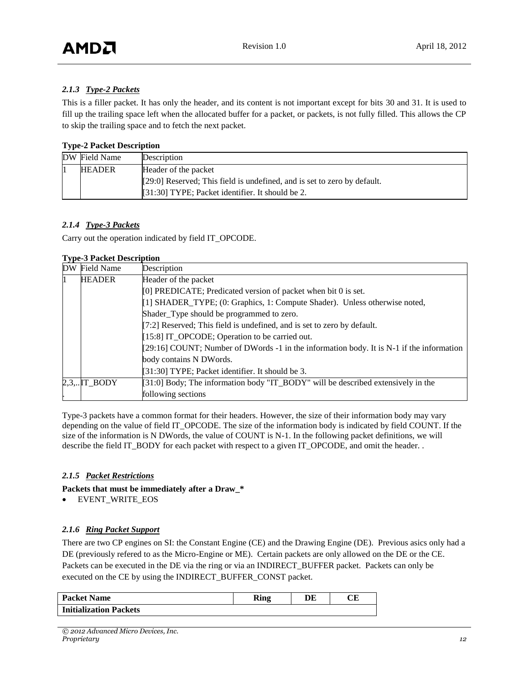## *2.1.3 Type-2 Packets*

This is a filler packet. It has only the header, and its content is not important except for bits 30 and 31. It is used to fill up the trailing space left when the allocated buffer for a packet, or packets, is not fully filled. This allows the CP to skip the trailing space and to fetch the next packet.

#### **Type-2 Packet Description**

| DW Field Name | Description                                                                |
|---------------|----------------------------------------------------------------------------|
| <b>HEADER</b> | Header of the packet                                                       |
|               | $[29:0]$ Reserved; This field is undefined, and is set to zero by default. |
|               | $\left[31:30\right]$ TYPE; Packet identifier. It should be 2.              |

#### *2.1.4 Type-3 Packets*

Carry out the operation indicated by field IT\_OPCODE.

#### **Type-3 Packet Description**

| DW Field Name                                                  | Description                                                                              |  |
|----------------------------------------------------------------|------------------------------------------------------------------------------------------|--|
| <b>HEADER</b>                                                  | Header of the packet                                                                     |  |
| [0] PREDICATE; Predicated version of packet when bit 0 is set. |                                                                                          |  |
|                                                                | [1] SHADER_TYPE; (0: Graphics, 1: Compute Shader). Unless otherwise noted,               |  |
|                                                                | Shader_Type should be programmed to zero.                                                |  |
|                                                                | [7:2] Reserved; This field is undefined, and is set to zero by default.                  |  |
|                                                                | [15:8] IT_OPCODE; Operation to be carried out.                                           |  |
|                                                                | [29:16] COUNT; Number of DWords -1 in the information body. It is N-1 if the information |  |
|                                                                | body contains N DWords.                                                                  |  |
|                                                                | [31:30] TYPE; Packet identifier. It should be 3.                                         |  |
| $2,3,$ IT_BODY                                                 | $[31:0]$ Body; The information body "IT_BODY" will be described extensively in the       |  |
|                                                                | following sections                                                                       |  |

Type-3 packets have a common format for their headers. However, the size of their information body may vary depending on the value of field IT\_OPCODE. The size of the information body is indicated by field COUNT. If the size of the information is N DWords, the value of COUNT is N-1. In the following packet definitions, we will describe the field IT\_BODY for each packet with respect to a given IT\_OPCODE, and omit the header. .

#### *2.1.5 Packet Restrictions*

**Packets that must be immediately after a Draw\_\***

EVENT\_WRITE\_EOS

## *2.1.6 Ring Packet Support*

There are two CP engines on SI: the Constant Engine (CE) and the Drawing Engine (DE). Previous asics only had a DE (previously refered to as the Micro-Engine or ME). Certain packets are only allowed on the DE or the CE. Packets can be executed in the DE via the ring or via an INDIRECT\_BUFFER packet. Packets can only be executed on the CE by using the INDIRECT\_BUFFER\_CONST packet.

| <b>Packet Name</b>            | m.<br><b>King</b> | DF | CЕ |
|-------------------------------|-------------------|----|----|
| <b>Initialization Packets</b> |                   |    |    |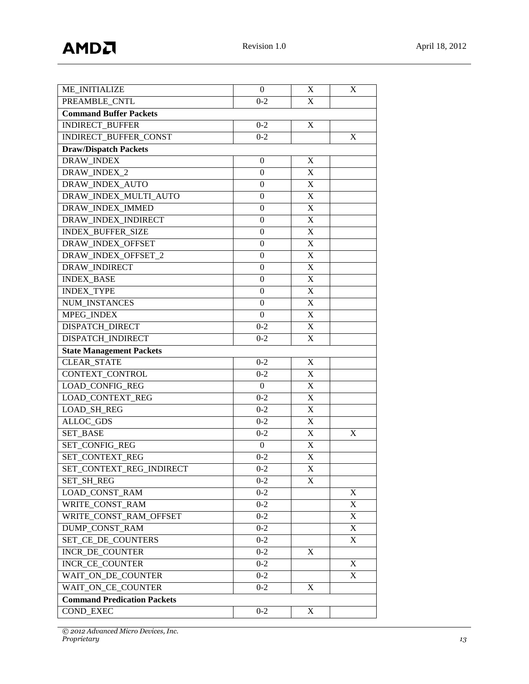| ME_INITIALIZE                      | $\theta$         | X                         | X                         |
|------------------------------------|------------------|---------------------------|---------------------------|
| PREAMBLE CNTL                      | $0 - 2$          | X                         |                           |
| <b>Command Buffer Packets</b>      |                  |                           |                           |
| <b>INDIRECT_BUFFER</b>             | $0 - 2$          | X                         |                           |
| INDIRECT_BUFFER_CONST              | $0 - 2$          |                           | X                         |
| <b>Draw/Dispatch Packets</b>       |                  |                           |                           |
| DRAW_INDEX                         | $\mathbf{0}$     | X                         |                           |
| DRAW_INDEX_2                       | 0                | X                         |                           |
| DRAW_INDEX_AUTO                    | $\mathbf{0}$     | $\mathbf X$               |                           |
| DRAW_INDEX_MULTI_AUTO              | $\boldsymbol{0}$ | $\mathbf X$               |                           |
| DRAW INDEX IMMED                   | 0                | $\mathbf X$               |                           |
| DRAW_INDEX_INDIRECT                | $\mathbf{0}$     | $\mathbf X$               |                           |
| INDEX_BUFFER_SIZE                  | $\mathbf{0}$     | $\mathbf X$               |                           |
| DRAW_INDEX_OFFSET                  | $\theta$         | X                         |                           |
| DRAW_INDEX_OFFSET_2                | 0                | X                         |                           |
| DRAW_INDIRECT                      | $\Omega$         | $\mathbf X$               |                           |
| <b>INDEX_BASE</b>                  | $\mathbf{0}$     | $\mathbf X$               |                           |
| <b>INDEX_TYPE</b>                  | 0                | $\mathbf X$               |                           |
| <b>NUM INSTANCES</b>               | $\theta$         | $\mathbf X$               |                           |
| MPEG_INDEX                         | $\Omega$         | $\mathbf X$               |                           |
| <b>DISPATCH DIRECT</b>             | $0 - 2$          | X                         |                           |
| DISPATCH_INDIRECT                  | $0 - 2$          | X                         |                           |
| <b>State Management Packets</b>    |                  |                           |                           |
| <b>CLEAR_STATE</b>                 | $0 - 2$          | X                         |                           |
| CONTEXT_CONTROL                    | $0 - 2$          | X                         |                           |
| <b>LOAD_CONFIG_REG</b>             | $\overline{0}$   | $\mathbf X$               |                           |
| LOAD_CONTEXT_REG                   | $0 - 2$          | $\mathbf X$               |                           |
| <b>LOAD_SH_REG</b>                 | $0 - 2$          | X                         |                           |
| ALLOC_GDS                          | $0 - 2$          | X                         |                           |
| SET_BASE                           | $0 - 2$          | $\mathbf X$               | X                         |
| SET_CONFIG_REG                     | $\theta$         | X                         |                           |
| SET_CONTEXT_REG                    | $0 - 2$          | $\boldsymbol{\mathrm{X}}$ |                           |
| SET_CONTEXT_REG_INDIRECT           | $0 - 2$          | $\mathbf X$               |                           |
| <b>SET SH REG</b>                  | $0 - 2$          | X                         |                           |
| LOAD_CONST_RAM                     | $0 - 2$          |                           | X                         |
| WRITE CONST RAM                    | $0 - 2$          |                           | $\mathbf X$               |
| WRITE_CONST_RAM_OFFSET             | $0 - 2$          |                           | $\boldsymbol{\mathrm{X}}$ |
| DUMP_CONST_RAM                     | $0 - 2$          |                           | X                         |
| SET_CE_DE_COUNTERS                 | $0 - 2$          |                           | X                         |
| INCR_DE_COUNTER                    | $0 - 2$          | X                         |                           |
| INCR_CE_COUNTER                    | $0 - 2$          |                           | X                         |
| WAIT ON DE COUNTER<br>$0-2$        |                  |                           | X                         |
| WAIT ON_CE_COUNTER<br>X<br>$0 - 2$ |                  |                           |                           |
| <b>Command Predication Packets</b> |                  |                           |                           |
| COND_EXEC                          | $0 - 2$          | X                         |                           |

*© 2012 Advanced Micro Devices, Inc.*

*Proprietary 13*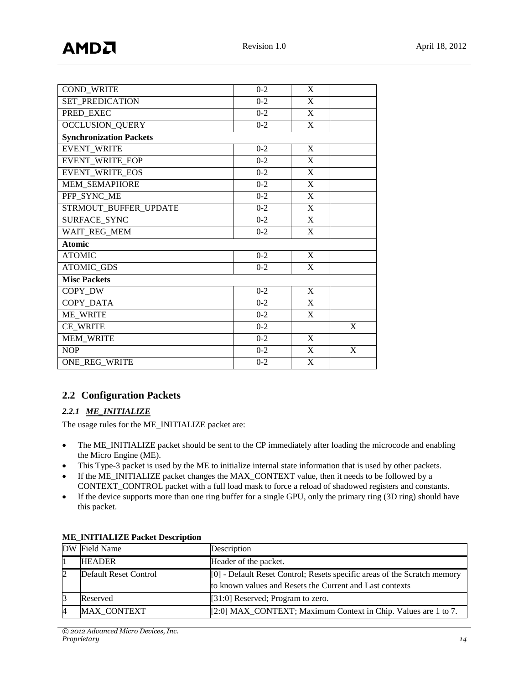| <b>COND_WRITE</b>              | $0-2$   | X            |   |
|--------------------------------|---------|--------------|---|
| SET_PREDICATION                | $0 - 2$ | X            |   |
| PRED EXEC                      | $0 - 2$ | X            |   |
| OCCLUSION_QUERY                | $0 - 2$ | X            |   |
| <b>Synchronization Packets</b> |         |              |   |
| <b>EVENT_WRITE</b>             | $0 - 2$ | $\mathbf X$  |   |
| EVENT_WRITE_EOP                | $0 - 2$ | X            |   |
| EVENT_WRITE_EOS                | $0 - 2$ | $\mathbf X$  |   |
| MEM_SEMAPHORE                  | $0 - 2$ | X            |   |
| PFP_SYNC_ME                    | $0 - 2$ | X            |   |
| STRMOUT_BUFFER_UPDATE          | $0 - 2$ | X            |   |
| SURFACE_SYNC                   | $0 - 2$ | X            |   |
| WAIT_REG_MEM                   | $0 - 2$ | X            |   |
| <b>Atomic</b>                  |         |              |   |
| <b>ATOMIC</b>                  | $0 - 2$ | X            |   |
| ATOMIC_GDS                     | $0 - 2$ | $\mathbf{X}$ |   |
| <b>Misc Packets</b>            |         |              |   |
| COPY_DW                        | $0 - 2$ | X            |   |
| COPY_DATA                      | $0 - 2$ | X            |   |
| <b>ME_WRITE</b>                | $0 - 2$ | X            |   |
| CE_WRITE                       | $0 - 2$ |              | X |
| <b>MEM_WRITE</b>               | $0 - 2$ | X            |   |
| <b>NOP</b>                     | $0 - 2$ | X            | X |
| ONE REG WRITE                  | $0 - 2$ | X            |   |

## <span id="page-13-0"></span>**2.2 Configuration Packets**

## *2.2.1 ME\_INITIALIZE*

The usage rules for the ME\_INITIALIZE packet are:

- The ME\_INITIALIZE packet should be sent to the CP immediately after loading the microcode and enabling the Micro Engine (ME).
- This Type-3 packet is used by the ME to initialize internal state information that is used by other packets.
- If the ME\_INITIALIZE packet changes the MAX\_CONTEXT value, then it needs to be followed by a CONTEXT\_CONTROL packet with a full load mask to force a reload of shadowed registers and constants.
- If the device supports more than one ring buffer for a single GPU, only the primary ring (3D ring) should have this packet.

|   | DW Field Name         | Description                                                              |
|---|-----------------------|--------------------------------------------------------------------------|
|   | <b>HEADER</b>         | Header of the packet.                                                    |
| 2 | Default Reset Control | [0] - Default Reset Control; Resets specific areas of the Scratch memory |
|   |                       | to known values and Resets the Current and Last contexts                 |
| 3 | Reserved              | $[31:0]$ Reserved; Program to zero.                                      |
| 4 | <b>MAX CONTEXT</b>    | [2:0] MAX_CONTEXT; Maximum Context in Chip. Values are 1 to 7.           |

## **ME\_INITIALIZE Packet Description**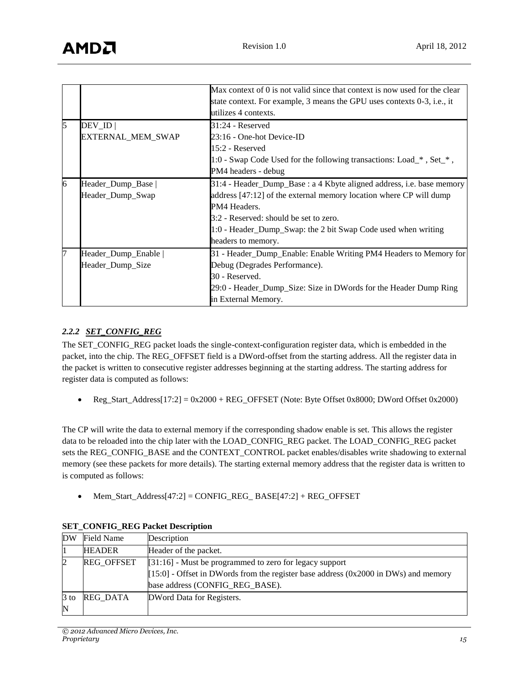|   |                     | Max context of 0 is not valid since that context is now used for the clear |
|---|---------------------|----------------------------------------------------------------------------|
|   |                     | state context. For example, 3 means the GPU uses contexts 0-3, i.e., it    |
|   |                     | utilizes 4 contexts.                                                       |
|   | $DEV$ <sub>ID</sub> | $31:24$ - Reserved                                                         |
|   | EXTERNAL_MEM_SWAP   | 23:16 - One-hot Device-ID                                                  |
|   |                     | 15:2 - Reserved                                                            |
|   |                     | 1:0 - Swap Code Used for the following transactions: Load_*, Set_*,        |
|   |                     | PM4 headers - debug                                                        |
| 6 | Header_Dump_Base    | 31:4 - Header_Dump_Base : a 4 Kbyte aligned address, i.e. base memory      |
|   | Header_Dump_Swap    | address [47:12] of the external memory location where CP will dump         |
|   |                     | PM4 Headers.                                                               |
|   |                     | 3:2 - Reserved: should be set to zero.                                     |
|   |                     | 1:0 - Header_Dump_Swap: the 2 bit Swap Code used when writing              |
|   |                     | headers to memory.                                                         |
|   | Header_Dump_Enable  | 31 - Header_Dump_Enable: Enable Writing PM4 Headers to Memory for          |
|   | Header_Dump_Size    | Debug (Degrades Performance).                                              |
|   |                     | 30 - Reserved.                                                             |
|   |                     | 29:0 - Header_Dump_Size: Size in DWords for the Header Dump Ring           |
|   |                     | in External Memory.                                                        |

#### *2.2.2 SET\_CONFIG\_REG*

The SET\_CONFIG\_REG packet loads the single-context-configuration register data, which is embedded in the packet, into the chip. The REG\_OFFSET field is a DWord-offset from the starting address. All the register data in the packet is written to consecutive register addresses beginning at the starting address. The starting address for register data is computed as follows:

Reg\_Start\_Address[17:2] =  $0x2000 + REG_O$  OFFSET (Note: Byte Offset 0x8000; DWord Offset 0x2000)

The CP will write the data to external memory if the corresponding shadow enable is set. This allows the register data to be reloaded into the chip later with the LOAD\_CONFIG\_REG packet. The LOAD\_CONFIG\_REG packet sets the REG\_CONFIG\_BASE and the CONTEXT\_CONTROL packet enables/disables write shadowing to external memory (see these packets for more details). The starting external memory address that the register data is written to is computed as follows:

 $Mem\_Start\_Address[47:2] = CONFIG\_REG\_BASE[47:2] + REG\_OFFSET$ 

| DW                    | Field Name        | Description                                                                                                                                                                           |
|-----------------------|-------------------|---------------------------------------------------------------------------------------------------------------------------------------------------------------------------------------|
|                       | <b>HEADER</b>     | Header of the packet.                                                                                                                                                                 |
|                       | <b>REG OFFSET</b> | $[31:16]$ - Must be programmed to zero for legacy support<br>$[15:0]$ - Offset in DWords from the register base address (0x2000 in DWs) and memory<br>base address (CONFIG_REG_BASE). |
| $3$ to<br>$\mathbb N$ | REG DATA          | DWord Data for Registers.                                                                                                                                                             |

#### **SET\_CONFIG\_REG Packet Description**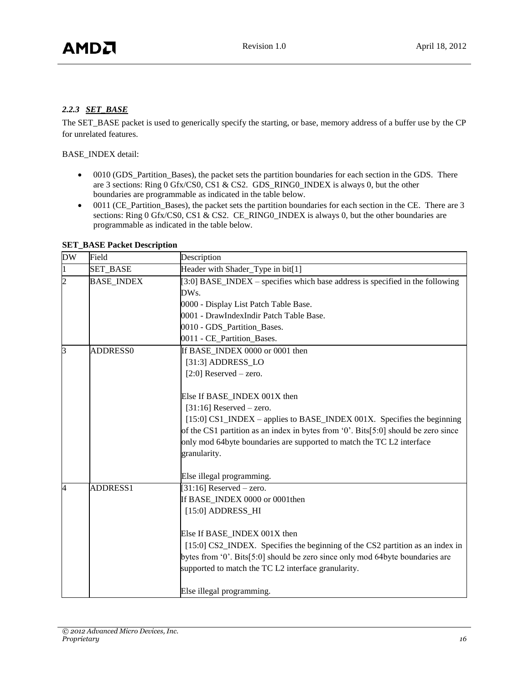#### *2.2.3 SET\_BASE*

The SET\_BASE packet is used to generically specify the starting, or base, memory address of a buffer use by the CP for unrelated features.

BASE\_INDEX detail:

- 0010 (GDS\_Partition\_Bases), the packet sets the partition boundaries for each section in the GDS. There are 3 sections: Ring 0 Gfx/CS0, CS1 & CS2. GDS\_RING0\_INDEX is always 0, but the other boundaries are programmable as indicated in the table below.
- 0011 (CE\_Partition\_Bases), the packet sets the partition boundaries for each section in the CE. There are 3 sections: Ring 0 Gfx/CS0, CS1 & CS2. CE\_RING0\_INDEX is always 0, but the other boundaries are programmable as indicated in the table below.

| <b>DW</b>      | Field             | Description                                                                           |
|----------------|-------------------|---------------------------------------------------------------------------------------|
| 1              | <b>SET_BASE</b>   | Header with Shader_Type in bit[1]                                                     |
| $\overline{c}$ | <b>BASE INDEX</b> | [3:0] BASE_INDEX – specifies which base address is specified in the following<br>DWs. |
|                |                   | 0000 - Display List Patch Table Base.                                                 |
|                |                   | 0001 - DrawIndexIndir Patch Table Base.                                               |
|                |                   | 0010 - GDS_Partition_Bases.                                                           |
|                |                   | 0011 - CE_Partition_Bases.                                                            |
| 3              | ADDRESS0          | If BASE INDEX 0000 or 0001 then                                                       |
|                |                   | [31:3] ADDRESS_LO                                                                     |
|                |                   | $[2:0]$ Reserved – zero.                                                              |
|                |                   |                                                                                       |
|                |                   | Else If BASE_INDEX 001X then                                                          |
|                |                   | $[31:16]$ Reserved – zero.                                                            |
|                |                   | [15:0] CS1_INDEX – applies to BASE_INDEX 001X. Specifies the beginning                |
|                |                   | of the CS1 partition as an index in bytes from '0'. Bits[5:0] should be zero since    |
|                |                   | only mod 64byte boundaries are supported to match the TC L2 interface                 |
|                |                   | granularity.                                                                          |
|                |                   | Else illegal programming.                                                             |
| 4              | ADDRESS1          | $[31:16]$ Reserved – zero.                                                            |
|                |                   | If BASE_INDEX 0000 or 0001then                                                        |
|                |                   | [15:0] ADDRESS_HI                                                                     |
|                |                   | Else If BASE_INDEX 001X then                                                          |
|                |                   | [15:0] CS2_INDEX. Specifies the beginning of the CS2 partition as an index in         |
|                |                   | bytes from '0'. Bits[5:0] should be zero since only mod 64byte boundaries are         |
|                |                   | supported to match the TC L2 interface granularity.                                   |
|                |                   | Else illegal programming.                                                             |

**SET\_BASE Packet Description**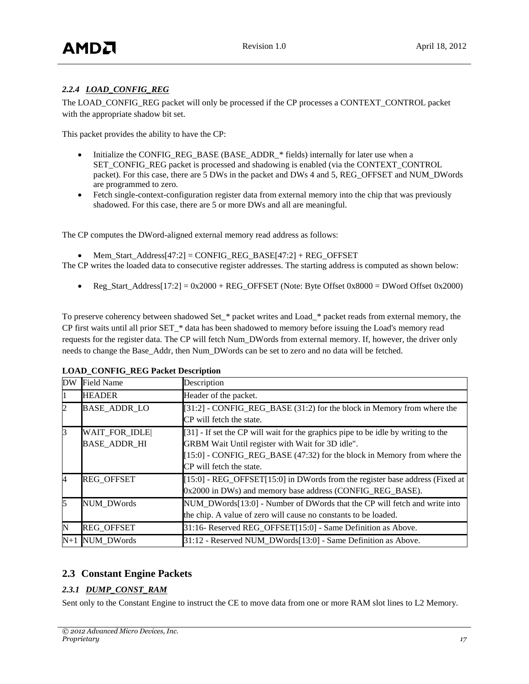## *2.2.4 LOAD\_CONFIG\_REG*

The LOAD\_CONFIG\_REG packet will only be processed if the CP processes a CONTEXT\_CONTROL packet with the appropriate shadow bit set.

This packet provides the ability to have the CP:

- Initialize the CONFIG\_REG\_BASE (BASE\_ADDR\_\* fields) internally for later use when a SET\_CONFIG\_REG packet is processed and shadowing is enabled (via the CONTEXT\_CONTROL packet). For this case, there are 5 DWs in the packet and DWs 4 and 5, REG\_OFFSET and NUM\_DWords are programmed to zero.
- Fetch single-context-configuration register data from external memory into the chip that was previously shadowed. For this case, there are 5 or more DWs and all are meaningful.

The CP computes the DWord-aligned external memory read address as follows:

Mem\_Start\_Address[47:2] = CONFIG\_REG\_BASE[47:2] + REG\_OFFSET

The CP writes the loaded data to consecutive register addresses. The starting address is computed as shown below:

Reg\_Start\_Address[17:2] =  $0x2000 + REG_O$  OFFSET (Note: Byte Offset  $0x8000 = DW$  Offset 0x2000)

To preserve coherency between shadowed Set\_\* packet writes and Load\_\* packet reads from external memory, the CP first waits until all prior SET\_\* data has been shadowed to memory before issuing the Load's memory read requests for the register data. The CP will fetch Num\_DWords from external memory. If, however, the driver only needs to change the Base\_Addr, then Num\_DWords can be set to zero and no data will be fetched.

| DW    | <b>Field Name</b>   | Description                                                                       |
|-------|---------------------|-----------------------------------------------------------------------------------|
|       | <b>HEADER</b>       | Header of the packet.                                                             |
|       | <b>BASE_ADDR_LO</b> | [31:2] - CONFIG_REG_BASE (31:2) for the block in Memory from where the            |
|       |                     | CP will fetch the state.                                                          |
| 3     | WAIT FOR IDLE       | [31] - If set the CP will wait for the graphics pipe to be idle by writing to the |
|       | <b>BASE ADDR HI</b> | GRBM Wait Until register with Wait for 3D idle".                                  |
|       |                     | [15:0] - CONFIG_REG_BASE (47:32) for the block in Memory from where the           |
|       |                     | CP will fetch the state.                                                          |
| 4     | <b>REG OFFSET</b>   | $[15:0]$ - REG_OFFSET $[15:0]$ in DWords from the register base address (Fixed at |
|       |                     | 0x2000 in DWs) and memory base address (CONFIG_REG_BASE).                         |
| 5     | <b>NUM DWords</b>   | NUM_DWords[13:0] - Number of DWords that the CP will fetch and write into         |
|       |                     | the chip. A value of zero will cause no constants to be loaded.                   |
| N     | <b>REG OFFSET</b>   | 31:16- Reserved REG_OFFSET[15:0] - Same Definition as Above.                      |
| $N+1$ | NUM_DWords          | 31:12 - Reserved NUM_DWords[13:0] - Same Definition as Above.                     |

#### **LOAD\_CONFIG\_REG Packet Description**

## <span id="page-16-0"></span>**2.3 Constant Engine Packets**

## *2.3.1 DUMP\_CONST\_RAM*

Sent only to the Constant Engine to instruct the CE to move data from one or more RAM slot lines to L2 Memory.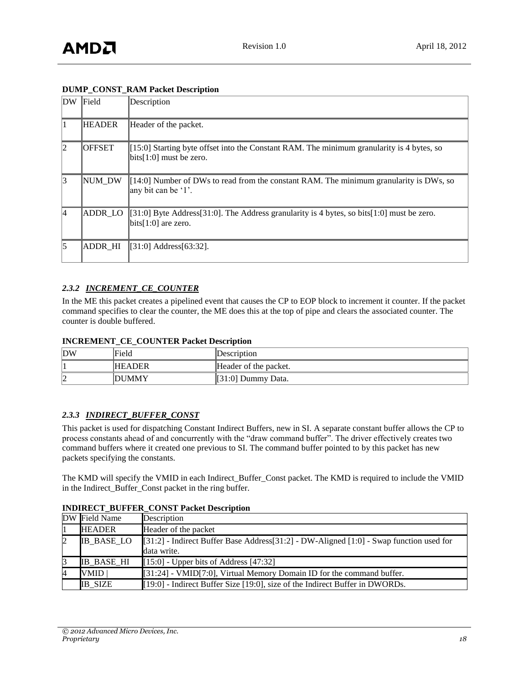#### **DUMP\_CONST\_RAM Packet Description**

| DW | Field         | Description                                                                                                            |
|----|---------------|------------------------------------------------------------------------------------------------------------------------|
|    | <b>HEADER</b> | Header of the packet.                                                                                                  |
| 12 | <b>OFFSET</b> | $[15:0]$ Starting byte offset into the Constant RAM. The minimum granularity is 4 bytes, so<br>bits[1:0] must be zero. |
| 3  | NUM DW        | $[14:0]$ Number of DWs to read from the constant RAM. The minimum granularity is DWs, so<br>any bit can be '1'.        |
| 14 | ADDR_LO       | [31:0] Byte Address [31:0]. The Address granularity is 4 bytes, so bits [1:0] must be zero.<br>$bits[1:0]$ are zero.   |
| 5  | ADDR HI       | [31:0] Address[63:32].                                                                                                 |

#### *2.3.2 INCREMENT\_CE\_COUNTER*

In the ME this packet creates a pipelined event that causes the CP to EOP block to increment it counter. If the packet command specifies to clear the counter, the ME does this at the top of pipe and clears the associated counter. The counter is double buffered.

#### **INCREMENT\_CE\_COUNTER Packet Description**

| DW | Field         | Description           |
|----|---------------|-----------------------|
|    | <b>HEADER</b> | Header of the packet. |
| ▵  | <b>DUMMY</b>  | [31:0] Dummy Data.    |

#### *2.3.3 INDIRECT\_BUFFER\_CONST*

This packet is used for dispatching Constant Indirect Buffers, new in SI. A separate constant buffer allows the CP to process constants ahead of and concurrently with the "draw command buffer". The driver effectively creates two command buffers where it created one previous to SI. The command buffer pointed to by this packet has new packets specifying the constants.

The KMD will specify the VMID in each Indirect\_Buffer\_Const packet. The KMD is required to include the VMID in the Indirect\_Buffer\_Const packet in the ring buffer.

#### **INDIRECT\_BUFFER\_CONST Packet Description**

|   | DW Field Name     | Description                                                                                        |
|---|-------------------|----------------------------------------------------------------------------------------------------|
|   | <b>HEADER</b>     | Header of the packet                                                                               |
| 2 | <b>IB BASE LO</b> | [[31:2] - Indirect Buffer Base Address [31:2] - DW-Aligned [1:0] - Swap function used for          |
|   |                   | data write.                                                                                        |
| 3 | <b>IB BASE HI</b> | $[15:0]$ - Upper bits of Address [47:32]                                                           |
| 4 | VMID              | $\llbracket 31:24 \rrbracket$ - VMID[7:0], Virtual Memory Domain ID for the command buffer.        |
|   | <b>IB SIZE</b>    | $\llbracket 19:0 \rrbracket$ - Indirect Buffer Size [19:0], size of the Indirect Buffer in DWORDs. |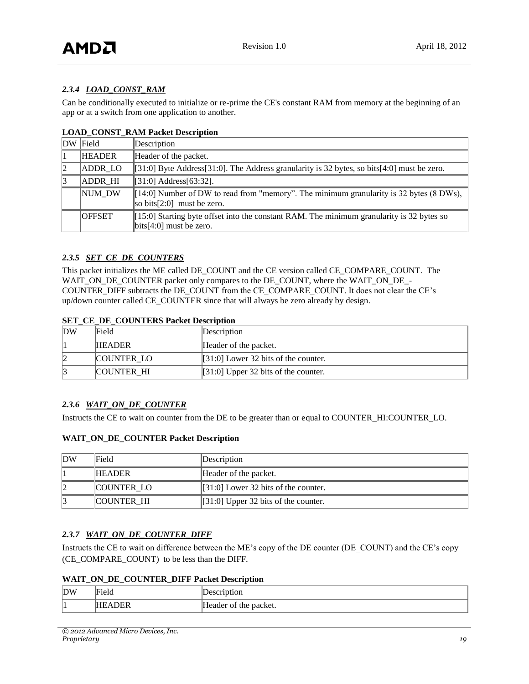### *2.3.4 LOAD\_CONST\_RAM*

Can be conditionally executed to initialize or re-prime the CE's constant RAM from memory at the beginning of an app or at a switch from one application to another.

|    | DW Field       | Description                                                                                                                                          |
|----|----------------|------------------------------------------------------------------------------------------------------------------------------------------------------|
|    | <b>HEADER</b>  | Header of the packet.                                                                                                                                |
|    | <b>ADDR LO</b> | $[31:0]$ Byte Address $[31:0]$ . The Address granularity is 32 bytes, so bits $[4:0]$ must be zero.                                                  |
| 13 | <b>ADDR HI</b> | $ [31:0]$ Address $[63:32]$ .                                                                                                                        |
|    | NUM DW         | $[14:0]$ Number of DW to read from "memory". The minimum granularity is 32 bytes (8 DWs),<br>$\vert$ so bits $[2:0]$ must be zero.                   |
|    | <b>OFFSET</b>  | [[15:0] Starting byte offset into the constant RAM. The minimum granularity is 32 bytes so<br>$\left  \frac{\text{bits}}{4:0} \right $ must be zero. |

#### **LOAD\_CONST\_RAM Packet Description**

#### *2.3.5 SET\_CE\_DE\_COUNTERS*

This packet initializes the ME called DE\_COUNT and the CE version called CE\_COMPARE\_COUNT. The WAIT\_ON\_DE\_COUNTER packet only compares to the DE\_COUNT, where the WAIT\_ON\_DE\_- COUNTER\_DIFF subtracts the DE\_COUNT from the CE\_COMPARE\_COUNT. It does not clear the CE's up/down counter called CE\_COUNTER since that will always be zero already by design.

#### **SET CE DE COUNTERS Packet Description**

| DW | Field             | Description                            |
|----|-------------------|----------------------------------------|
|    | <b>HEADER</b>     | Header of the packet.                  |
|    | <b>COUNTER LO</b> | $[31:0]$ Lower 32 bits of the counter. |
|    | <b>COUNTER HI</b> | $[31:0]$ Upper 32 bits of the counter. |

#### *2.3.6 WAIT\_ON\_DE\_COUNTER*

Instructs the CE to wait on counter from the DE to be greater than or equal to COUNTER\_HI:COUNTER\_LO.

#### **WAIT\_ON\_DE\_COUNTER Packet Description**

| DW | Field             | Description                            |
|----|-------------------|----------------------------------------|
|    | <b>IHEADER</b>    | Header of the packet.                  |
|    | <b>COUNTER LO</b> | $[31:0]$ Lower 32 bits of the counter. |
|    | <b>COUNTER HI</b> | $[31:0]$ Upper 32 bits of the counter. |

#### 2.3.7 **WAIT\_ON\_DE\_COUNTER\_DIFF**

Instructs the CE to wait on difference between the ME's copy of the DE counter (DE\_COUNT) and the CE's copy (CE\_COMPARE\_COUNT) to be less than the DIFF.

#### **WAIT\_ON\_DE\_COUNTER\_DIFF Packet Description**

| DW | laternary and<br>'Fiela | rnption<br>10001          |
|----|-------------------------|---------------------------|
| Ш. | DER<br>$\Lambda$<br>нн  | the packet.<br>-leader of |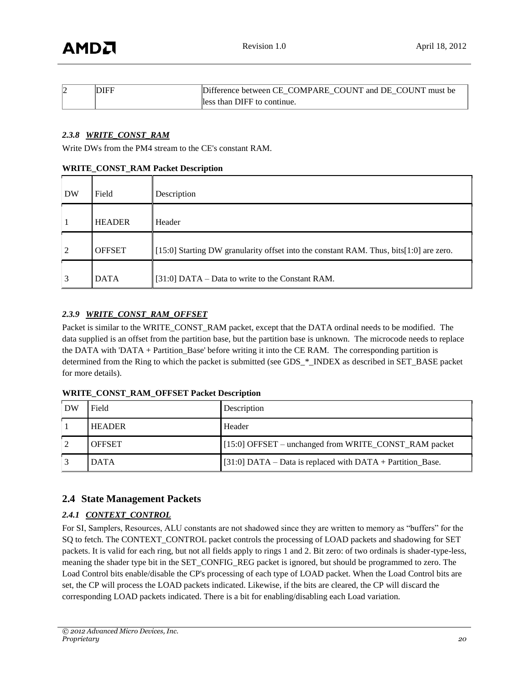| ıŻ | DIFF | Difference between CE COMPARE COUNT and DE COUNT must be |
|----|------|----------------------------------------------------------|
|    |      | lless than DIFF to continue.                             |

#### *2.3.8 WRITE\_CONST\_RAM*

Write DWs from the PM4 stream to the CE's constant RAM.

#### **WRITE\_CONST\_RAM Packet Description**

| <b>DW</b> | Field         | Description                                                                            |
|-----------|---------------|----------------------------------------------------------------------------------------|
|           | <b>HEADER</b> | Header                                                                                 |
| 2         | <b>OFFSET</b> | [15:0] Starting DW granularity offset into the constant RAM. Thus, bits[1:0] are zero. |
| 3         | <b>DATA</b>   | [31:0] DATA – Data to write to the Constant RAM.                                       |

#### *2.3.9 WRITE\_CONST\_RAM\_OFFSET*

Packet is similar to the WRITE\_CONST\_RAM packet, except that the DATA ordinal needs to be modified. The data supplied is an offset from the partition base, but the partition base is unknown. The microcode needs to replace the DATA with 'DATA + Partition\_Base' before writing it into the CE RAM. The corresponding partition is determined from the Ring to which the packet is submitted (see GDS \* INDEX as described in SET\_BASE packet for more details).

| DW | Field         | Description                                                |
|----|---------------|------------------------------------------------------------|
|    | <b>HEADER</b> | Header                                                     |
|    | <b>OFFSET</b> | [15:0] OFFSET – unchanged from WRITE_CONST_RAM packet      |
|    | <b>DATA</b>   | [31:0] DATA – Data is replaced with DATA + Partition_Base. |

#### **WRITE\_CONST\_RAM\_OFFSET Packet Description**

## <span id="page-19-0"></span>**2.4 State Management Packets**

## *2.4.1 CONTEXT\_CONTROL*

For SI, Samplers, Resources, ALU constants are not shadowed since they are written to memory as "buffers" for the SQ to fetch. The CONTEXT\_CONTROL packet controls the processing of LOAD packets and shadowing for SET packets. It is valid for each ring, but not all fields apply to rings 1 and 2. Bit zero: of two ordinals is shader-type-less, meaning the shader type bit in the SET\_CONFIG\_REG packet is ignored, but should be programmed to zero. The Load Control bits enable/disable the CP's processing of each type of LOAD packet. When the Load Control bits are set, the CP will process the LOAD packets indicated. Likewise, if the bits are cleared, the CP will discard the corresponding LOAD packets indicated. There is a bit for enabling/disabling each Load variation.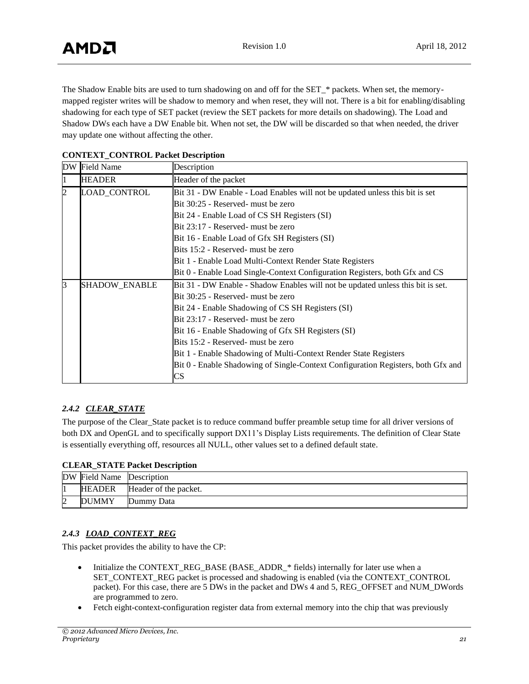The Shadow Enable bits are used to turn shadowing on and off for the SET\_\* packets. When set, the memorymapped register writes will be shadow to memory and when reset, they will not. There is a bit for enabling/disabling shadowing for each type of SET packet (review the SET packets for more details on shadowing). The Load and Shadow DWs each have a DW Enable bit. When not set, the DW will be discarded so that when needed, the driver may update one without affecting the other.

|   | DW Field Name | Description                                                                      |
|---|---------------|----------------------------------------------------------------------------------|
| 1 | <b>HEADER</b> | Header of the packet                                                             |
| 2 | LOAD_CONTROL  | Bit 31 - DW Enable - Load Enables will not be updated unless this bit is set     |
|   |               | Bit 30:25 - Reserved- must be zero                                               |
|   |               | Bit 24 - Enable Load of CS SH Registers (SI)                                     |
|   |               | Bit 23:17 - Reserved- must be zero                                               |
|   |               | Bit 16 - Enable Load of Gfx SH Registers (SI)                                    |
|   |               | Bits 15:2 - Reserved- must be zero                                               |
|   |               | Bit 1 - Enable Load Multi-Context Render State Registers                         |
|   |               | Bit 0 - Enable Load Single-Context Configuration Registers, both Gfx and CS      |
| 3 | SHADOW_ENABLE | Bit 31 - DW Enable - Shadow Enables will not be updated unless this bit is set.  |
|   |               | Bit 30:25 - Reserved- must be zero                                               |
|   |               | Bit 24 - Enable Shadowing of CS SH Registers (SI)                                |
|   |               | Bit 23:17 - Reserved- must be zero                                               |
|   |               | Bit 16 - Enable Shadowing of Gfx SH Registers (SI)                               |
|   |               | Bits 15:2 - Reserved- must be zero                                               |
|   |               | Bit 1 - Enable Shadowing of Multi-Context Render State Registers                 |
|   |               | Bit 0 - Enable Shadowing of Single-Context Configuration Registers, both Gfx and |
|   |               | CS                                                                               |

#### **CONTEXT\_CONTROL Packet Description**

## *2.4.2 CLEAR\_STATE*

The purpose of the Clear\_State packet is to reduce command buffer preamble setup time for all driver versions of both DX and OpenGL and to specifically support DX11's Display Lists requirements. The definition of Clear State is essentially everything off, resources all NULL, other values set to a defined default state.

#### **CLEAR\_STATE Packet Description**

| DW Field Name Description |                       |
|---------------------------|-----------------------|
| <b>HEADER</b>             | Header of the packet. |
| <b>DUMMY</b>              | Dummy Data            |

## *2.4.3 LOAD\_CONTEXT\_REG*

This packet provides the ability to have the CP:

- $\bullet$  Initialize the CONTEXT REG BASE (BASE ADDR  $*$  fields) internally for later use when a SET\_CONTEXT\_REG packet is processed and shadowing is enabled (via the CONTEXT\_CONTROL packet). For this case, there are 5 DWs in the packet and DWs 4 and 5, REG\_OFFSET and NUM\_DWords are programmed to zero.
- Fetch eight-context-configuration register data from external memory into the chip that was previously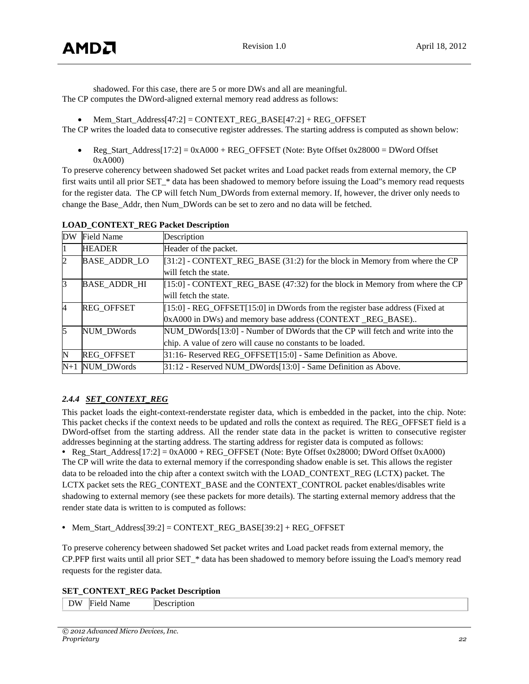shadowed. For this case, there are 5 or more DWs and all are meaningful. The CP computes the DWord-aligned external memory read address as follows:

Mem\_Start\_Address[47:2] = CONTEXT\_REG\_BASE[47:2] + REG\_OFFSET

The CP writes the loaded data to consecutive register addresses. The starting address is computed as shown below:

Reg\_Start\_Address[17:2] =  $0xA000 + REG_O$  OFFSET (Note: Byte Offset  $0x28000 = DWord$  Offset 0xA000)

To preserve coherency between shadowed Set packet writes and Load packet reads from external memory, the CP first waits until all prior SET  $*$  data has been shadowed to memory before issuing the Load"s memory read requests for the register data. The CP will fetch Num\_DWords from external memory. If, however, the driver only needs to change the Base\_Addr, then Num\_DWords can be set to zero and no data will be fetched.

| <b>DW</b>      | <b>Field Name</b>   | Description                                                                   |  |
|----------------|---------------------|-------------------------------------------------------------------------------|--|
|                | <b>HEADER</b>       | Header of the packet.                                                         |  |
| $\overline{c}$ | <b>BASE_ADDR_LO</b> | [31:2] - CONTEXT_REG_BASE (31:2) for the block in Memory from where the CP    |  |
|                |                     | will fetch the state.                                                         |  |
| 3              | <b>BASE_ADDR_HI</b> | $[15:0]$ - CONTEXT_REG_BASE (47:32) for the block in Memory from where the CP |  |
|                |                     | will fetch the state.                                                         |  |
| $\overline{4}$ | <b>REG OFFSET</b>   | [15:0] - REG_OFFSET[15:0] in DWords from the register base address (Fixed at  |  |
|                |                     | 0xA000 in DWs) and memory base address (CONTEXT_REG_BASE)                     |  |
| 15             | <b>NUM DWords</b>   | NUM_DWords[13:0] - Number of DWords that the CP will fetch and write into the |  |
|                |                     | chip. A value of zero will cause no constants to be loaded.                   |  |
| N              | <b>REG OFFSET</b>   | 31:16- Reserved REG_OFFSET[15:0] - Same Definition as Above.                  |  |
|                | $N+1$ NUM DWords    | 31:12 - Reserved NUM_DWords[13:0] - Same Definition as Above.                 |  |

#### **LOAD\_CONTEXT\_REG Packet Description**

## *2.4.4 SET\_CONTEXT\_REG*

This packet loads the eight-context-renderstate register data, which is embedded in the packet, into the chip. Note: This packet checks if the context needs to be updated and rolls the context as required. The REG\_OFFSET field is a DWord-offset from the starting address. All the render state data in the packet is written to consecutive register addresses beginning at the starting address. The starting address for register data is computed as follows:

**•** Reg\_Start\_Address[17:2] = 0xA000 + REG\_OFFSET (Note: Byte Offset 0x28000; DWord Offset 0xA000) The CP will write the data to external memory if the corresponding shadow enable is set. This allows the register data to be reloaded into the chip after a context switch with the LOAD\_CONTEXT\_REG (LCTX) packet. The LCTX packet sets the REG\_CONTEXT\_BASE and the CONTEXT\_CONTROL packet enables/disables write shadowing to external memory (see these packets for more details). The starting external memory address that the render state data is written to is computed as follows:

**•** Mem\_Start\_Address[39:2] = CONTEXT\_REG\_BASE[39:2] + REG\_OFFSET

To preserve coherency between shadowed Set packet writes and Load packet reads from external memory, the CP.PFP first waits until all prior SET\_\* data has been shadowed to memory before issuing the Load's memory read requests for the register data.

#### **SET\_CONTEXT\_REG Packet Description**

| ιw<br>ntion!<br>$\cdots$<br>-----<br>ıme<br><u>.</u><br>$\sim$ $\sim$ |
|-----------------------------------------------------------------------|
|-----------------------------------------------------------------------|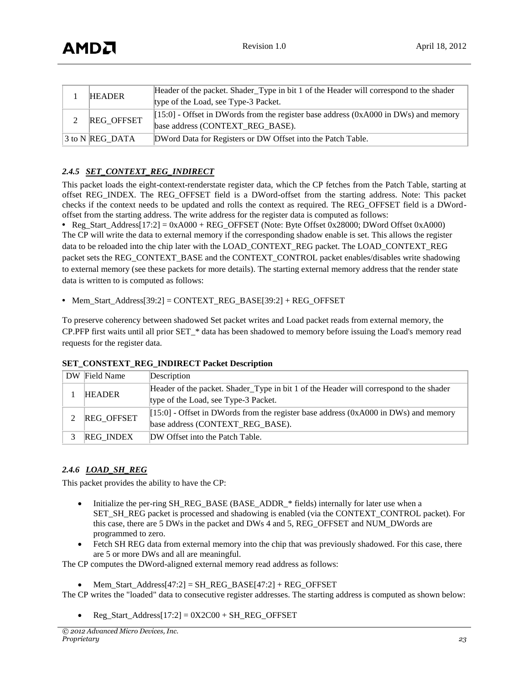| <b>HEADER</b><br>type of the Load, see Type-3 Packet. |                 | Header of the packet. Shader_Type in bit 1 of the Header will correspond to the shader                                    |
|-------------------------------------------------------|-----------------|---------------------------------------------------------------------------------------------------------------------------|
|                                                       | REG_OFFSET      | $[15:0]$ - Offset in DWords from the register base address (0xA000 in DWs) and memory<br>base address (CONTEXT_REG_BASE). |
|                                                       | 3 to N REG DATA | DWord Data for Registers or DW Offset into the Patch Table.                                                               |

#### *2.4.5 SET\_CONTEXT\_REG\_INDIRECT*

This packet loads the eight-context-renderstate register data, which the CP fetches from the Patch Table, starting at offset REG\_INDEX. The REG\_OFFSET field is a DWord-offset from the starting address. Note: This packet checks if the context needs to be updated and rolls the context as required. The REG\_OFFSET field is a DWordoffset from the starting address. The write address for the register data is computed as follows:

• Reg\_Start\_Address[17:2]  $= 0xA000 + REG$  OFFSET (Note: Byte Offset 0x28000; DWord Offset 0xA000) The CP will write the data to external memory if the corresponding shadow enable is set. This allows the register data to be reloaded into the chip later with the LOAD\_CONTEXT\_REG packet. The LOAD\_CONTEXT\_REG packet sets the REG\_CONTEXT\_BASE and the CONTEXT\_CONTROL packet enables/disables write shadowing to external memory (see these packets for more details). The starting external memory address that the render state data is written to is computed as follows:

• Mem\_Start\_Address[39:2] = CONTEXT\_REG\_BASE[39:2] + REG\_OFFSET

To preserve coherency between shadowed Set packet writes and Load packet reads from external memory, the CP.PFP first waits until all prior SET\_\* data has been shadowed to memory before issuing the Load's memory read requests for the register data.

| DW Field Name     | Description                                                                            |
|-------------------|----------------------------------------------------------------------------------------|
| <b>HEADER</b>     | Header of the packet. Shader_Type in bit 1 of the Header will correspond to the shader |
|                   | type of the Load, see Type-3 Packet.                                                   |
| <b>REG OFFSET</b> | $[15:0]$ - Offset in DWords from the register base address (0xA000 in DWs) and memory  |
|                   | base address (CONTEXT_REG_BASE).                                                       |
| <b>REG INDEX</b>  | DW Offset into the Patch Table.                                                        |

#### **SET\_CONSTEXT\_REG\_INDIRECT Packet Description**

#### *2.4.6 LOAD\_SH\_REG*

This packet provides the ability to have the CP:

- Initialize the per-ring SH\_REG\_BASE (BASE\_ADDR\_\* fields) internally for later use when a SET\_SH\_REG packet is processed and shadowing is enabled (via the CONTEXT\_CONTROL packet). For this case, there are 5 DWs in the packet and DWs 4 and 5, REG\_OFFSET and NUM\_DWords are programmed to zero.
- Fetch SH REG data from external memory into the chip that was previously shadowed. For this case, there are 5 or more DWs and all are meaningful.

The CP computes the DWord-aligned external memory read address as follows:

Mem\_Start\_Address[47:2] = SH\_REG\_BASE[47:2] + REG\_OFFSET

The CP writes the "loaded" data to consecutive register addresses. The starting address is computed as shown below:

• Reg\_Start\_Address[17:2] =  $0X2C00 + SH$  REG\_OFFSET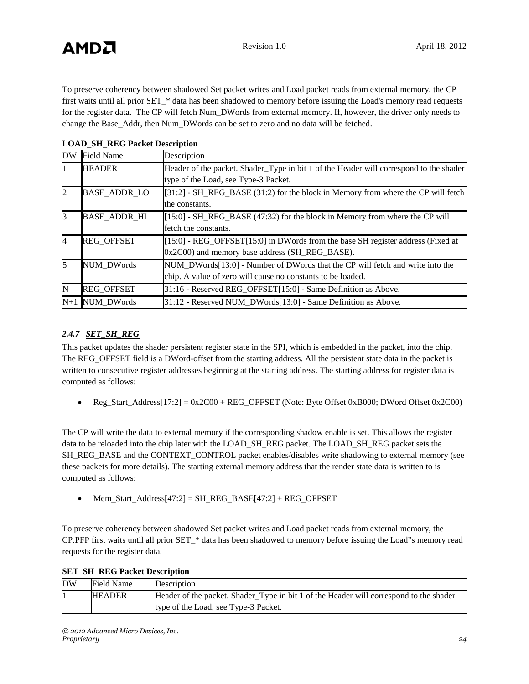To preserve coherency between shadowed Set packet writes and Load packet reads from external memory, the CP first waits until all prior SET  $*$  data has been shadowed to memory before issuing the Load's memory read requests for the register data. The CP will fetch Num\_DWords from external memory. If, however, the driver only needs to change the Base\_Addr, then Num\_DWords can be set to zero and no data will be fetched.

| DW    | <b>Field Name</b>   | Description                                                                            |  |
|-------|---------------------|----------------------------------------------------------------------------------------|--|
| П.    | <b>HEADER</b>       | Header of the packet. Shader_Type in bit 1 of the Header will correspond to the shader |  |
|       |                     | type of the Load, see Type-3 Packet.                                                   |  |
| 2     | <b>BASE_ADDR_LO</b> | $[31:2]$ - SH_REG_BASE (31:2) for the block in Memory from where the CP will fetch     |  |
|       |                     | the constants.                                                                         |  |
| 13    | <b>BASE ADDR HI</b> | $[15:0]$ - SH_REG_BASE (47:32) for the block in Memory from where the CP will          |  |
|       |                     | fetch the constants.                                                                   |  |
| 4     | <b>REG OFFSET</b>   | $[15:0]$ - REG_OFFSET $[15:0]$ in DWords from the base SH register address (Fixed at   |  |
|       |                     | 0x2C00) and memory base address (SH_REG_BASE).                                         |  |
| 15    | <b>NUM DWords</b>   | NUM DWords [13:0] - Number of DWords that the CP will fetch and write into the         |  |
|       |                     | chip. A value of zero will cause no constants to be loaded.                            |  |
| N     | <b>REG OFFSET</b>   | 31:16 - Reserved REG_OFFSET[15:0] - Same Definition as Above.                          |  |
| $N+1$ | <b>NUM DWords</b>   | 31:12 - Reserved NUM DWords[13:0] - Same Definition as Above.                          |  |

#### **LOAD\_SH\_REG Packet Description**

#### *2.4.7 SET\_SH\_REG*

This packet updates the shader persistent register state in the SPI, which is embedded in the packet, into the chip. The REG\_OFFSET field is a DWord-offset from the starting address. All the persistent state data in the packet is written to consecutive register addresses beginning at the starting address. The starting address for register data is computed as follows:

Reg\_Start\_Address[17:2] =  $0x2CO0 + REG_OFFSET$  (Note: Byte Offset 0xB000; DWord Offset 0x2C00)

The CP will write the data to external memory if the corresponding shadow enable is set. This allows the register data to be reloaded into the chip later with the LOAD\_SH\_REG packet. The LOAD\_SH\_REG packet sets the SH\_REG\_BASE and the CONTEXT\_CONTROL packet enables/disables write shadowing to external memory (see these packets for more details). The starting external memory address that the render state data is written to is computed as follows:

Mem\_Start\_Address[47:2] = SH\_REG\_BASE[47:2] + REG\_OFFSET

To preserve coherency between shadowed Set packet writes and Load packet reads from external memory, the CP.PFP first waits until all prior SET\_\* data has been shadowed to memory before issuing the Load"s memory read requests for the register data.

|  |  |  |  | <b>SET_SH_REG Packet Description</b> |
|--|--|--|--|--------------------------------------|
|--|--|--|--|--------------------------------------|

| DW | Field Name    | Description                                                                            |
|----|---------------|----------------------------------------------------------------------------------------|
|    | <b>HEADER</b> | Header of the packet. Shader_Type in bit 1 of the Header will correspond to the shader |
|    |               | type of the Load, see Type-3 Packet.                                                   |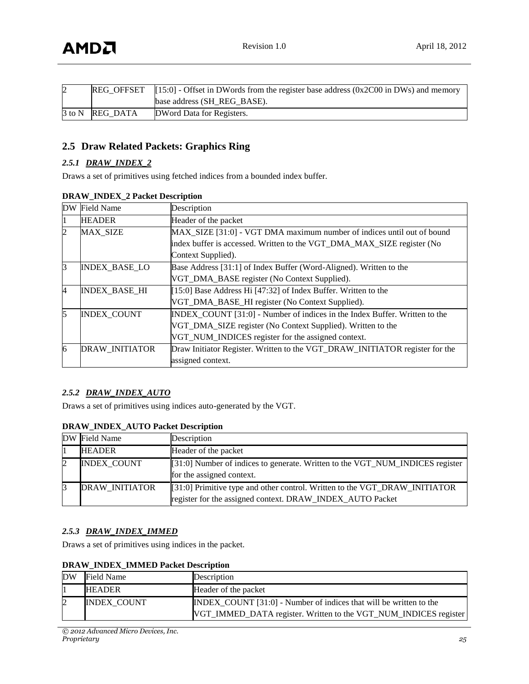| $\overline{2}$ |                 | REG_OFFSET $\left[15:0\right]$ - Offset in DWords from the register base address (0x2C00 in DWs) and memory |  |
|----------------|-----------------|-------------------------------------------------------------------------------------------------------------|--|
|                |                 | base address (SH REG BASE).                                                                                 |  |
|                | 3 to N REG DATA | DWord Data for Registers.                                                                                   |  |

## <span id="page-24-0"></span>**2.5 Draw Related Packets: Graphics Ring**

#### *2.5.1 DRAW\_INDEX\_2*

Draws a set of primitives using fetched indices from a bounded index buffer.

| <b>DW</b> | <b>Field Name</b>     | Description                                                                  |  |
|-----------|-----------------------|------------------------------------------------------------------------------|--|
| 11        | <b>HEADER</b>         | Header of the packet                                                         |  |
| 2         | <b>MAX SIZE</b>       | MAX SIZE [31:0] - VGT DMA maximum number of indices until out of bound       |  |
|           |                       | index buffer is accessed. Written to the VGT_DMA_MAX_SIZE register (No       |  |
|           |                       | Context Supplied).                                                           |  |
| $\beta$   | <b>INDEX BASE LO</b>  | Base Address [31:1] of Index Buffer (Word-Aligned). Written to the           |  |
|           |                       | VGT_DMA_BASE register (No Context Supplied).                                 |  |
| 4         | <b>INDEX BASE HI</b>  | [15:0] Base Address Hi [47:32] of Index Buffer. Written to the               |  |
|           |                       | VGT_DMA_BASE_HI register (No Context Supplied).                              |  |
| 15        | <b>INDEX COUNT</b>    | $INDEX COUNT [31:0] - Number of indices in the Index Buffer. Written to the$ |  |
|           |                       | VGT_DMA_SIZE register (No Context Supplied). Written to the                  |  |
|           |                       | VGT_NUM_INDICES register for the assigned context.                           |  |
| 6         | <b>DRAW INITIATOR</b> | Draw Initiator Register. Written to the VGT_DRAW_INITIATOR register for the  |  |
|           |                       | assigned context.                                                            |  |

#### **DRAW\_INDEX\_2 Packet Description**

#### *2.5.2 DRAW\_INDEX\_AUTO*

Draws a set of primitives using indices auto-generated by the VGT.

#### **DRAW\_INDEX\_AUTO Packet Description**

| DW Field Name         | Description                                                                                                                             |
|-----------------------|-----------------------------------------------------------------------------------------------------------------------------------------|
| <b>HEADER</b>         | Header of the packet                                                                                                                    |
| <b>INDEX_COUNT</b>    | [31:0] Number of indices to generate. Written to the VGT_NUM_INDICES register<br>for the assigned context.                              |
| <b>DRAW INITIATOR</b> | [31:0] Primitive type and other control. Written to the VGT_DRAW_INITIATOR<br>register for the assigned context. DRAW_INDEX_AUTO Packet |

#### *2.5.3 DRAW\_INDEX\_IMMED*

Draws a set of primitives using indices in the packet.

|  |  |  |  | <b>DRAW_INDEX_IMMED Packet Description</b> |
|--|--|--|--|--------------------------------------------|
|--|--|--|--|--------------------------------------------|

| <b>DW</b> | Field Name         | Description                                                                                                                            |
|-----------|--------------------|----------------------------------------------------------------------------------------------------------------------------------------|
|           | <b>HEADER</b>      | Header of the packet                                                                                                                   |
|           | <b>INDEX COUNT</b> | INDEX_COUNT [31:0] - Number of indices that will be written to the<br>VGT_IMMED_DATA register. Written to the VGT_NUM_INDICES register |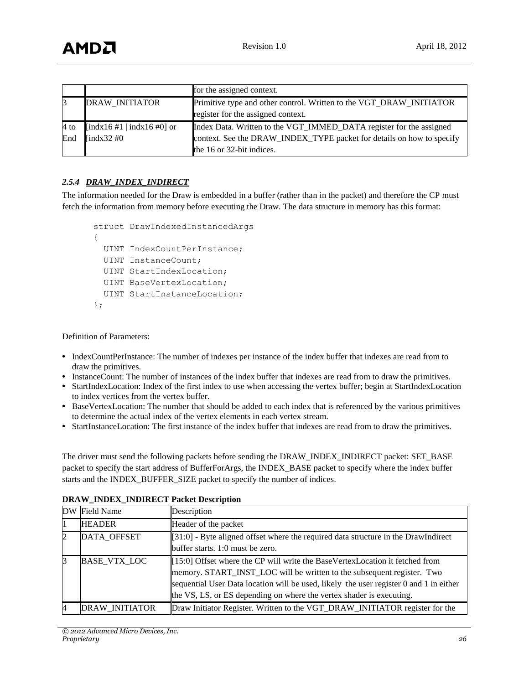|        |                            | for the assigned context.                                             |
|--------|----------------------------|-----------------------------------------------------------------------|
|        | <b>DRAW INITIATOR</b>      | Primitive type and other control. Written to the VGT_DRAW_INITIATOR   |
|        |                            | register for the assigned context.                                    |
| $4$ to | [indx16 #1   indx16 #0] or | Index Data. Written to the VGT_IMMED_DATA register for the assigned   |
| End    | [indx $32\#0$ ]            | context. See the DRAW_INDEX_TYPE packet for details on how to specify |
|        |                            | the 16 or 32-bit indices.                                             |

#### *2.5.4 DRAW\_INDEX\_INDIRECT*

The information needed for the Draw is embedded in a buffer (rather than in the packet) and therefore the CP must fetch the information from memory before executing the Draw. The data structure in memory has this format:

```
struct DrawIndexedInstancedArgs
{
   UINT IndexCountPerInstance; 
   UINT InstanceCount; 
   UINT StartIndexLocation; 
   UINT BaseVertexLocation; 
   UINT StartInstanceLocation; 
};
```
Definition of Parameters:

- IndexCountPerInstance: The number of indexes per instance of the index buffer that indexes are read from to draw the primitives.
- **•** InstanceCount: The number of instances of the index buffer that indexes are read from to draw the primitives.
- StartIndexLocation: Index of the first index to use when accessing the vertex buffer; begin at StartIndexLocation to index vertices from the vertex buffer.
- **•** BaseVertexLocation: The number that should be added to each index that is referenced by the various primitives to determine the actual index of the vertex elements in each vertex stream.
- **•** StartInstanceLocation: The first instance of the index buffer that indexes are read from to draw the primitives.

The driver must send the following packets before sending the DRAW\_INDEX\_INDIRECT packet: SET\_BASE packet to specify the start address of BufferForArgs, the INDEX\_BASE packet to specify where the index buffer starts and the INDEX\_BUFFER\_SIZE packet to specify the number of indices.

|                | DW Field Name       | Description                                                                                                                                                                                                                                                                                                               |  |
|----------------|---------------------|---------------------------------------------------------------------------------------------------------------------------------------------------------------------------------------------------------------------------------------------------------------------------------------------------------------------------|--|
|                | <b>HEADER</b>       | Header of the packet                                                                                                                                                                                                                                                                                                      |  |
| $\overline{2}$ | DATA OFFSET         | $\left[\right]31:0$ - Byte aligned offset where the required data structure in the DrawIndirect<br>buffer starts. 1:0 must be zero.                                                                                                                                                                                       |  |
| 3              | <b>BASE VTX LOC</b> | ∥[15:0] Offset where the CP will write the BaseVertexLocation it fetched from<br>memory. START_INST_LOC will be written to the subsequent register. Two<br>sequential User Data location will be used, likely the user register 0 and 1 in either<br>the VS, LS, or ES depending on where the vertex shader is executing. |  |
| 4              | DRAW_INITIATOR      | Draw Initiator Register. Written to the VGT_DRAW_INITIATOR register for the                                                                                                                                                                                                                                               |  |

#### **DRAW\_INDEX\_INDIRECT Packet Description**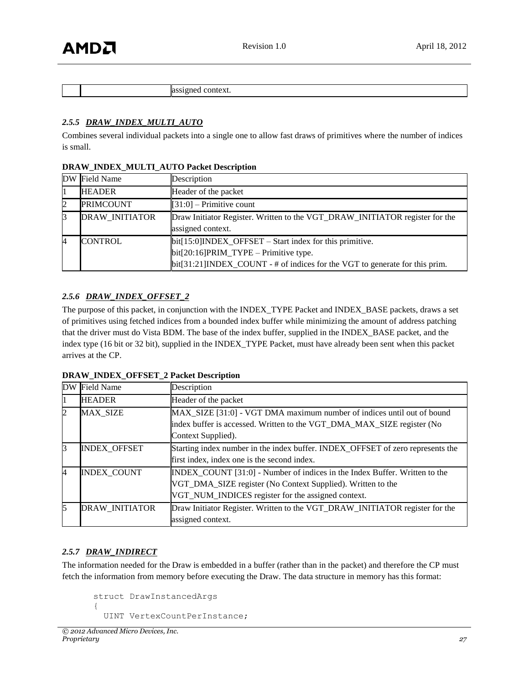|  | па<br>ш.<br>ΛL.<br>.<br>. |
|--|---------------------------|

#### *2.5.5 DRAW\_INDEX\_MULTI\_AUTO*

Combines several individual packets into a single one to allow fast draws of primitives where the number of indices is small.

|   | DW Field Name         | Description                                                                                                                                                                                                        |  |
|---|-----------------------|--------------------------------------------------------------------------------------------------------------------------------------------------------------------------------------------------------------------|--|
|   | <b>HEADER</b>         | Header of the packet                                                                                                                                                                                               |  |
| 2 | <b>PRIMCOUNT</b>      | $[31:0]$ – Primitive count                                                                                                                                                                                         |  |
| ß | <b>DRAW INITIATOR</b> | <b>Draw Initiator Register.</b> Written to the VGT_DRAW_INITIATOR register for the<br>assigned context.                                                                                                            |  |
| 4 | <b>CONTROL</b>        | $\text{bit}[15:0] \text{INDEX}\_\text{OFFSET} - \text{Start index}$ for this primitive.<br>$bit[20:16] PRIM_TYPE - Primitive type.$<br>bit[31:21]INDEX_COUNT - # of indices for the VGT to generate for this prim. |  |

#### **DRAW\_INDEX\_MULTI\_AUTO Packet Description**

#### *2.5.6 DRAW\_INDEX\_OFFSET\_2*

The purpose of this packet, in conjunction with the INDEX\_TYPE Packet and INDEX\_BASE packets, draws a set of primitives using fetched indices from a bounded index buffer while minimizing the amount of address patching that the driver must do Vista BDM. The base of the index buffer, supplied in the INDEX\_BASE packet, and the index type (16 bit or 32 bit), supplied in the INDEX\_TYPE Packet, must have already been sent when this packet arrives at the CP.

#### **DRAW\_INDEX\_OFFSET\_2 Packet Description**

| <b>DW</b>      | <b>Field Name</b>   | Description                                                                                                                                                                                     |  |
|----------------|---------------------|-------------------------------------------------------------------------------------------------------------------------------------------------------------------------------------------------|--|
|                | <b>HEADER</b>       | Header of the packet                                                                                                                                                                            |  |
| $\overline{2}$ | <b>MAX SIZE</b>     | MAX_SIZE [31:0] - VGT DMA maximum number of indices until out of bound<br>index buffer is accessed. Written to the VGT_DMA_MAX_SIZE register (No<br>Context Supplied).                          |  |
| 3              | <b>INDEX OFFSET</b> | Starting index number in the index buffer. INDEX_OFFSET of zero represents the<br>first index, index one is the second index.                                                                   |  |
| 4              | <b>INDEX_COUNT</b>  | INDEX_COUNT [31:0] - Number of indices in the Index Buffer. Written to the<br>VGT_DMA_SIZE register (No Context Supplied). Written to the<br>VGT_NUM_INDICES register for the assigned context. |  |
| 5              | DRAW_INITIATOR      | Draw Initiator Register. Written to the VGT_DRAW_INITIATOR register for the<br>assigned context.                                                                                                |  |

#### *2.5.7 DRAW\_INDIRECT*

The information needed for the Draw is embedded in a buffer (rather than in the packet) and therefore the CP must fetch the information from memory before executing the Draw. The data structure in memory has this format:

```
struct DrawInstancedArgs 
{
   UINT VertexCountPerInstance;
```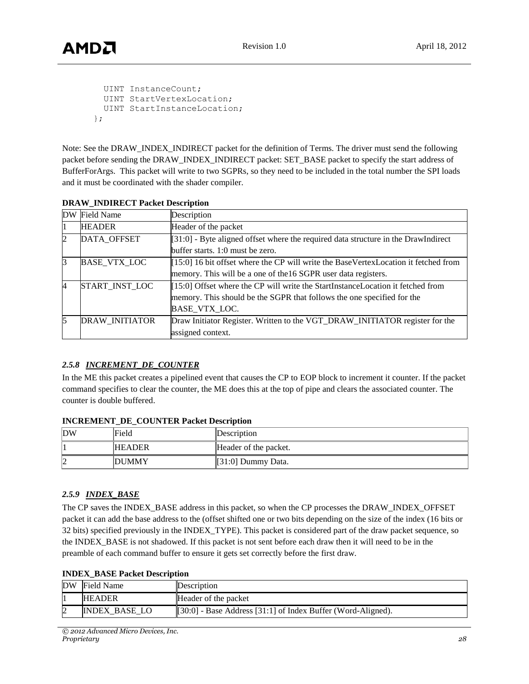```
 UINT InstanceCount; 
  UINT StartVertexLocation; 
  UINT StartInstanceLocation; 
};
```
Note: See the DRAW\_INDEX\_INDIRECT packet for the definition of Terms. The driver must send the following packet before sending the DRAW\_INDEX\_INDIRECT packet: SET\_BASE packet to specify the start address of BufferForArgs. This packet will write to two SGPRs, so they need to be included in the total number the SPI loads and it must be coordinated with the shader compiler.

| <b>DW</b>      | <b>Field Name</b>     | Description                                                                           |  |
|----------------|-----------------------|---------------------------------------------------------------------------------------|--|
|                | <b>HEADER</b>         | Header of the packet                                                                  |  |
| $\mathbf{2}$   | DATA_OFFSET           | $[31:0]$ - Byte aligned offset where the required data structure in the DrawIndirect  |  |
|                |                       | buffer starts. 1:0 must be zero.                                                      |  |
| 3              | <b>BASE VTX LOC</b>   | $[15:0]$ 16 bit offset where the CP will write the BaseVertexLocation it fetched from |  |
|                |                       | memory. This will be a one of the 16 SGPR user data registers.                        |  |
| $\overline{4}$ | START INST LOC        | [15:0] Offset where the CP will write the StartInstanceLocation it fetched from       |  |
|                |                       | memory. This should be the SGPR that follows the one specified for the                |  |
|                |                       | BASE VTX LOC.                                                                         |  |
| 15             | <b>DRAW INITIATOR</b> | Draw Initiator Register. Written to the VGT_DRAW_INITIATOR register for the           |  |
|                |                       | assigned context.                                                                     |  |

| <b>DRAW_INDIRECT Packet Description</b> |
|-----------------------------------------|
|-----------------------------------------|

## *2.5.8 INCREMENT\_DE\_COUNTER*

In the ME this packet creates a pipelined event that causes the CP to EOP block to increment it counter. If the packet command specifies to clear the counter, the ME does this at the top of pipe and clears the associated counter. The counter is double buffered.

#### **INCREMENT\_DE\_COUNTER Packet Description**

| DW | Field         | Description           |
|----|---------------|-----------------------|
|    | <b>HEADER</b> | Header of the packet. |
|    | <b>DUMMY</b>  | $[31:0]$ Dummy Data.  |

#### *2.5.9 INDEX\_BASE*

The CP saves the INDEX\_BASE address in this packet, so when the CP processes the DRAW\_INDEX\_OFFSET packet it can add the base address to the (offset shifted one or two bits depending on the size of the index (16 bits or 32 bits) specified previously in the INDEX\_TYPE). This packet is considered part of the draw packet sequence, so the INDEX\_BASE is not shadowed. If this packet is not sent before each draw then it will need to be in the preamble of each command buffer to ensure it gets set correctly before the first draw.

| <b>INDEX_BASE Packet Description</b> |
|--------------------------------------|
|--------------------------------------|

| DW Field Name | Description                                                                        |
|---------------|------------------------------------------------------------------------------------|
| <b>HEADER</b> | Header of the packet                                                               |
| INDEX BASE LO | $\llbracket 30:0 \rrbracket$ - Base Address [31:1] of Index Buffer (Word-Aligned). |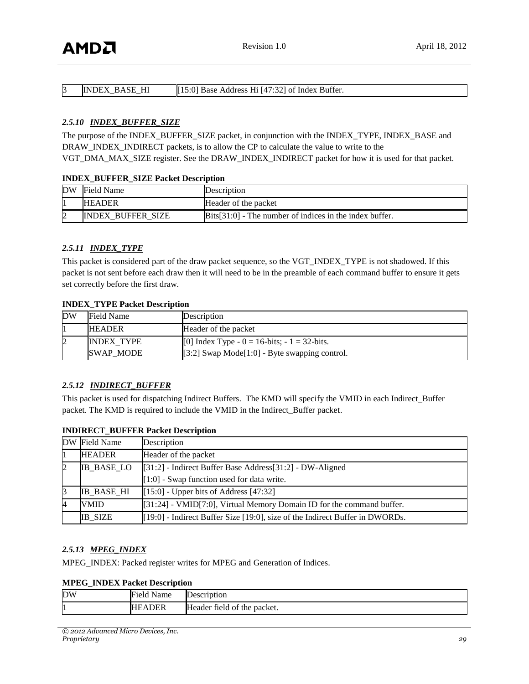| <b>INDEX BASE HI</b> | [15:0] Base Address Hi [47:32] of Index Buffer. |
|----------------------|-------------------------------------------------|
|                      |                                                 |

#### *2.5.10 INDEX\_BUFFER\_SIZE*

The purpose of the INDEX\_BUFFER\_SIZE packet, in conjunction with the INDEX\_TYPE, INDEX\_BASE and DRAW\_INDEX\_INDIRECT packets, is to allow the CP to calculate the value to write to the VGT\_DMA\_MAX\_SIZE register. See the DRAW\_INDEX\_INDIRECT packet for how it is used for that packet.

#### **INDEX\_BUFFER\_SIZE Packet Description**

| DW | <b>Field Name</b>        | Description                                                                   |
|----|--------------------------|-------------------------------------------------------------------------------|
|    | <b>HEADER</b>            | Header of the packet                                                          |
|    | <b>INDEX BUFFER SIZE</b> | $\left[\text{Bits}[31:0]\right]$ - The number of indices in the index buffer. |

#### *2.5.11 INDEX\_TYPE*

This packet is considered part of the draw packet sequence, so the VGT\_INDEX\_TYPE is not shadowed. If this packet is not sent before each draw then it will need to be in the preamble of each command buffer to ensure it gets set correctly before the first draw.

#### **INDEX\_TYPE Packet Description**

| <b>DW</b> | Field Name        | Description                                                                     |
|-----------|-------------------|---------------------------------------------------------------------------------|
|           | <b>HEADER</b>     | Header of the packet                                                            |
|           | <b>INDEX TYPE</b> | [0] Index Type - $0 = 16$ -bits; - $1 = 32$ -bits.                              |
|           | SWAP MODE         | $\left[\right[3:2\right]$ Swap Mode $\left[1:0\right]$ - Byte swapping control. |

#### *2.5.12 INDIRECT\_BUFFER*

This packet is used for dispatching Indirect Buffers. The KMD will specify the VMID in each Indirect\_Buffer packet. The KMD is required to include the VMID in the Indirect\_Buffer packet.

#### **INDIRECT\_BUFFER Packet Description**

|                | DW Field Name     | Description                                                                                        |  |
|----------------|-------------------|----------------------------------------------------------------------------------------------------|--|
|                | <b>HEADER</b>     | Header of the packet                                                                               |  |
| 2              | <b>IB_BASE_LO</b> | [[31:2] - Indirect Buffer Base Address[31:2] - DW-Aligned                                          |  |
|                |                   | $\llbracket 1:0 \rrbracket$ - Swap function used for data write.                                   |  |
|                | <b>IB BASE HI</b> | $[15:0]$ - Upper bits of Address [47:32]                                                           |  |
| $\overline{A}$ | VMID              | [[31:24] - VMID[7:0], Virtual Memory Domain ID for the command buffer.                             |  |
|                | <b>IB SIZE</b>    | $\llbracket 19:0 \rrbracket$ - Indirect Buffer Size [19:0], size of the Indirect Buffer in DWORDs. |  |

#### *2.5.13 MPEG\_INDEX*

MPEG\_INDEX: Packed register writes for MPEG and Generation of Indices.

**MPEG\_INDEX Packet Description**

| <b>DW</b> | . .<br>Field<br>Name | Description                 |
|-----------|----------------------|-----------------------------|
| . .       | ADER:<br>HF.         | Header field of the packet. |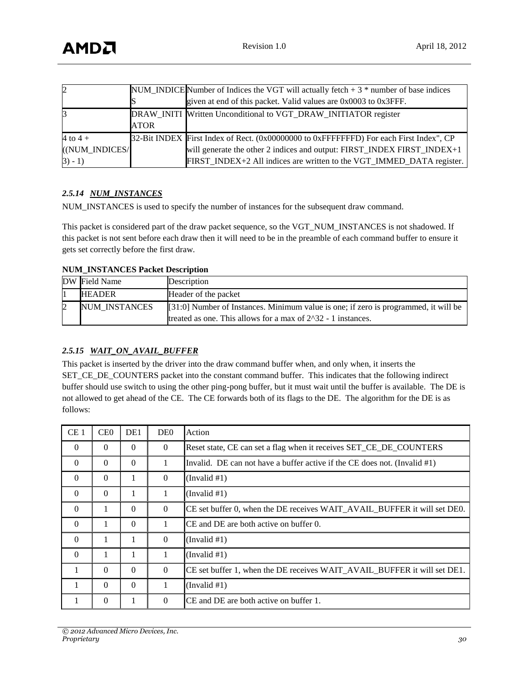| $\overline{2}$ |             | NUM_INDICE Number of Indices the VGT will actually fetch $+3$ * number of base indices |
|----------------|-------------|----------------------------------------------------------------------------------------|
|                |             | given at end of this packet. Valid values are 0x0003 to 0x3FFF.                        |
| 3              |             | DRAW_INITI Written Unconditional to VGT_DRAW_INITIATOR register                        |
|                | <b>ATOR</b> |                                                                                        |
| 4 to $4 +$     |             | 32-Bit INDEX First Index of Rect. (0x00000000 to 0xFFFFFFFD) For each First Index", CP |
| ((NUM INDICES/ |             | will generate the other 2 indices and output: FIRST_INDEX FIRST_INDEX+1                |
| $3) - 1)$      |             | FIRST_INDEX+2 All indices are written to the VGT_IMMED_DATA register.                  |

#### *2.5.14 NUM\_INSTANCES*

NUM\_INSTANCES is used to specify the number of instances for the subsequent draw command.

This packet is considered part of the draw packet sequence, so the VGT\_NUM\_INSTANCES is not shadowed. If this packet is not sent before each draw then it will need to be in the preamble of each command buffer to ensure it gets set correctly before the first draw.

#### **NUM\_INSTANCES Packet Description**

| DW Field Name | Description                                                                           |
|---------------|---------------------------------------------------------------------------------------|
| <b>HEADER</b> | Header of the packet                                                                  |
| NUM INSTANCES | $[31:0]$ Number of Instances. Minimum value is one; if zero is programmed, it will be |
|               | treated as one. This allows for a max of $2^3$ -1 instances.                          |

## *2.5.15 WAIT\_ON\_AVAIL\_BUFFER*

This packet is inserted by the driver into the draw command buffer when, and only when, it inserts the SET\_CE\_DE\_COUNTERS packet into the constant command buffer. This indicates that the following indirect buffer should use switch to using the other ping-pong buffer, but it must wait until the buffer is available. The DE is not allowed to get ahead of the CE. The CE forwards both of its flags to the DE. The algorithm for the DE is as follows:

| CE <sub>1</sub> | CE <sub>0</sub> | DE1      | DE <sub>0</sub> | Action                                                                       |
|-----------------|-----------------|----------|-----------------|------------------------------------------------------------------------------|
| $\theta$        | $\Omega$        | $\Omega$ | $\Omega$        | Reset state, CE can set a flag when it receives SET_CE_DE_COUNTERS           |
| $\theta$        | $\Omega$        | $\Omega$ | 1               | Invalid. DE can not have a buffer active if the CE does not. (Invalid $#1$ ) |
| $\theta$        | $\Omega$        | л.       | $\Omega$        | (Invalid #1)                                                                 |
| $\Omega$        | $\Omega$        |          | 1               | (Invalid #1)                                                                 |
| $\Omega$        |                 | $\Omega$ | $\Omega$        | CE set buffer 0, when the DE receives WAIT_AVAIL_BUFFER it will set DE0.     |
| $\theta$        | л.              | $\Omega$ | 1               | CE and DE are both active on buffer 0.                                       |
| $\theta$        |                 |          | $\Omega$        | (Invalid #1)                                                                 |
| $\theta$        | 1               |          | 1               | (Invalid #1)                                                                 |
| $\mathbf{1}$    | $\Omega$        | $\Omega$ | $\Omega$        | CE set buffer 1, when the DE receives WAIT_AVAIL_BUFFER it will set DE1.     |
| 1               | $\Omega$        | $\Omega$ | 1               | (Invalid #1)                                                                 |
| 1               | $\theta$        |          | $\Omega$        | CE and DE are both active on buffer 1.                                       |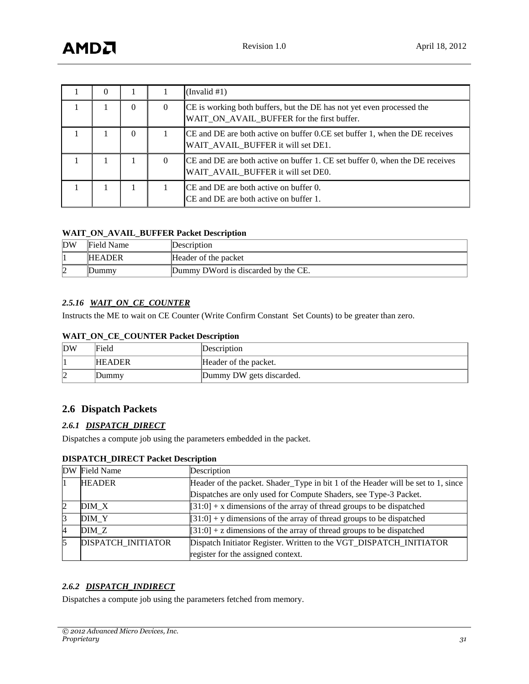| $\theta$ |          |          | (Invalid #1)                                                                                                        |
|----------|----------|----------|---------------------------------------------------------------------------------------------------------------------|
|          | 0        | $\Omega$ | CE is working both buffers, but the DE has not yet even processed the<br>WAIT_ON_AVAIL_BUFFER for the first buffer. |
|          | $\Omega$ |          | CE and DE are both active on buffer 0.CE set buffer 1, when the DE receives<br>WAIT_AVAIL_BUFFER it will set DE1.   |
|          |          | $\theta$ | CE and DE are both active on buffer 1. CE set buffer 0, when the DE receives<br>WAIT AVAIL BUFFER it will set DE0.  |
|          |          |          | CE and DE are both active on buffer 0.<br>CE and DE are both active on buffer 1.                                    |

#### **WAIT\_ON\_AVAIL\_BUFFER Packet Description**

| DW | Field Name    | Description                          |
|----|---------------|--------------------------------------|
|    | <b>HEADER</b> | Header of the packet                 |
| ı  | Dummy         | Dummy DW ord is discarded by the CE. |

#### *2.5.16 WAIT\_ON\_CE\_COUNTER*

Instructs the ME to wait on CE Counter (Write Confirm Constant Set Counts) to be greater than zero.

#### **WAIT\_ON\_CE\_COUNTER Packet Description**

| DW      | Field         | Description              |
|---------|---------------|--------------------------|
|         | <b>HEADER</b> | Header of the packet.    |
| רו<br>⊵ | Dummy         | Dummy DW gets discarded. |

## <span id="page-30-0"></span>**2.6 Dispatch Packets**

#### *2.6.1 DISPATCH\_DIRECT*

Dispatches a compute job using the parameters embedded in the packet.

|   | DW Field Name      | Description                                                                      |
|---|--------------------|----------------------------------------------------------------------------------|
|   | <b>HEADER</b>      | Header of the packet. Shader_Type in bit 1 of the Header will be set to 1, since |
|   |                    | Dispatches are only used for Compute Shaders, see Type-3 Packet.                 |
| 2 | DIM X              | $[31:0]$ + x dimensions of the array of thread groups to be dispatched           |
| 3 | DIM Y              | $[31:0]$ + y dimensions of the array of thread groups to be dispatched           |
| 4 | DIM Z              | $[31:0]$ + z dimensions of the array of thread groups to be dispatched           |
| 5 | DISPATCH_INITIATOR | Dispatch Initiator Register. Written to the VGT_DISPATCH_INITIATOR               |
|   |                    | register for the assigned context.                                               |

#### **DISPATCH\_DIRECT Packet Description**

#### *2.6.2 DISPATCH\_INDIRECT*

Dispatches a compute job using the parameters fetched from memory.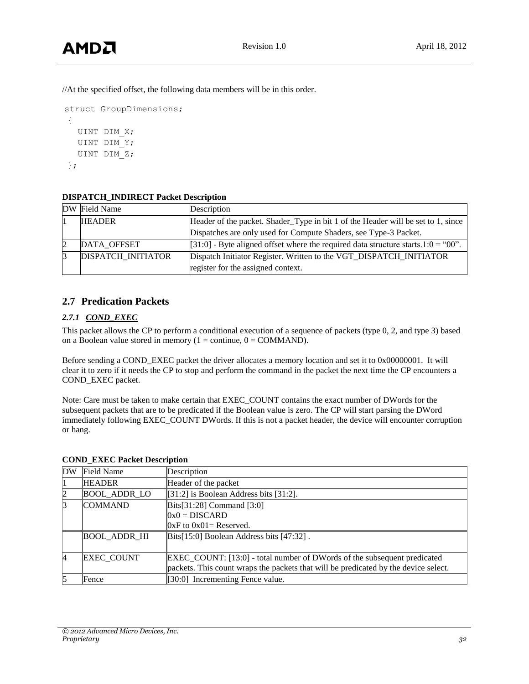//At the specified offset, the following data members will be in this order.

```
struct GroupDimensions;
{
  UINT DIM X;
   UINT DIM_Y;
   UINT DIM_Z;
};
```
## **DISPATCH\_INDIRECT Packet Description**

| DW Field Name             | Description                                                                       |
|---------------------------|-----------------------------------------------------------------------------------|
| <b>HEADER</b>             | Header of the packet. Shader_Type in bit 1 of the Header will be set to 1, since  |
|                           | Dispatches are only used for Compute Shaders, see Type-3 Packet.                  |
| DATA OFFSET               | [31:0] - Byte aligned offset where the required data structure starts.1:0 = "00". |
| <b>DISPATCH INITIATOR</b> | Dispatch Initiator Register. Written to the VGT_DISPATCH_INITIATOR                |
|                           | register for the assigned context.                                                |

## <span id="page-31-0"></span>**2.7 Predication Packets**

## *2.7.1 COND\_EXEC*

This packet allows the CP to perform a conditional execution of a sequence of packets (type 0, 2, and type 3) based on a Boolean value stored in memory ( $1 =$  continue,  $0 =$  COMMAND).

Before sending a COND\_EXEC packet the driver allocates a memory location and set it to 0x00000001. It will clear it to zero if it needs the CP to stop and perform the command in the packet the next time the CP encounters a COND\_EXEC packet.

Note: Care must be taken to make certain that EXEC\_COUNT contains the exact number of DWords for the subsequent packets that are to be predicated if the Boolean value is zero. The CP will start parsing the DWord immediately following EXEC\_COUNT DWords. If this is not a packet header, the device will encounter corruption or hang.

| DW | Field Name          | Description                                                                         |
|----|---------------------|-------------------------------------------------------------------------------------|
|    | <b>HEADER</b>       | Header of the packet                                                                |
|    | <b>BOOL_ADDR_LO</b> | [31:2] is Boolean Address bits [31:2].                                              |
| 13 | <b>COMMAND</b>      | $\left  \text{Bits}[31:28] \right $ Command $\left[ 3:0 \right]$                    |
|    |                     | $0x0 = DISCARD$                                                                     |
|    |                     | $[0xF]$ to $0x01$ = Reserved.                                                       |
|    | <b>BOOL ADDR HI</b> | $\left  \text{Bits} \right $ [15:0] Boolean Address bits [47:32].                   |
|    |                     |                                                                                     |
| 14 | <b>EXEC COUNT</b>   | EXEC_COUNT: [13:0] - total number of DWords of the subsequent predicated            |
|    |                     | packets. This count wraps the packets that will be predicated by the device select. |
|    | Fence               | [30:0] Incrementing Fence value.                                                    |

## **COND\_EXEC Packet Description**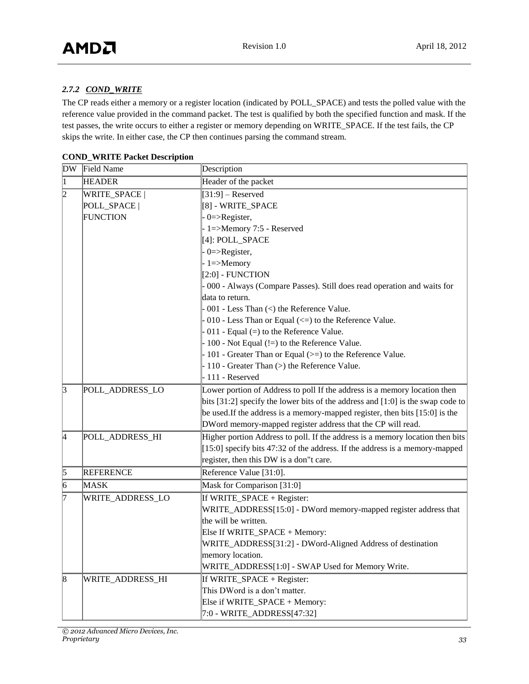## *2.7.2 COND\_WRITE*

The CP reads either a memory or a register location (indicated by POLL\_SPACE) and tests the polled value with the reference value provided in the command packet. The test is qualified by both the specified function and mask. If the test passes, the write occurs to either a register or memory depending on WRITE\_SPACE. If the test fails, the CP skips the write. In either case, the CP then continues parsing the command stream.

| <b>DW</b>   | Field Name       | Description                                                                         |
|-------------|------------------|-------------------------------------------------------------------------------------|
| $\mathbf 1$ | <b>HEADER</b>    | Header of the packet                                                                |
| 2           | WRITE_SPACE      | $[31:9]$ – Reserved                                                                 |
|             | POLL_SPACE       | [8] - WRITE_SPACE                                                                   |
|             | <b>FUNCTION</b>  | $0 = >$ Register,                                                                   |
|             |                  | 1=>Memory 7:5 - Reserved                                                            |
|             |                  | [4]: POLL_SPACE                                                                     |
|             |                  | $0 = >$ Register,                                                                   |
|             |                  | $-1 = >$ Memory                                                                     |
|             |                  | $[2:0]$ - FUNCTION                                                                  |
|             |                  | 000 - Always (Compare Passes). Still does read operation and waits for              |
|             |                  | ldata to return.                                                                    |
|             |                  | 001 - Less Than $\left\langle \right\rangle$ the Reference Value.                   |
|             |                  | 010 - Less Than or Equal (<=) to the Reference Value.                               |
|             |                  | $0.011$ - Equal (=) to the Reference Value.                                         |
|             |                  | 100 - Not Equal (!=) to the Reference Value.                                        |
|             |                  | 101 - Greater Than or Equal (>=) to the Reference Value.                            |
|             |                  | 110 - Greater Than (>) the Reference Value.                                         |
|             |                  | 111 - Reserved                                                                      |
| $\vert$ 3   | POLL_ADDRESS_LO  | Lower portion of Address to poll If the address is a memory location then           |
|             |                  | bits $[31:2]$ specify the lower bits of the address and $[1:0]$ is the swap code to |
|             |                  | be used. If the address is a memory-mapped register, then bits [15:0] is the        |
|             |                  | DWord memory-mapped register address that the CP will read.                         |
| 4           | POLL_ADDRESS_HI  | Higher portion Address to poll. If the address is a memory location then bits       |
|             |                  | $[15:0]$ specify bits 47:32 of the address. If the address is a memory-mapped       |
|             |                  | register, then this DW is a don"t care.                                             |
| $\vert$ 5   | <b>REFERENCE</b> | Reference Value [31:0].                                                             |
| 6           | <b>MASK</b>      | Mask for Comparison [31:0]                                                          |
| 17          | WRITE_ADDRESS_LO | If WRITE_SPACE + Register:                                                          |
|             |                  | WRITE_ADDRESS[15:0] - DWord memory-mapped register address that                     |
|             |                  | the will be written.                                                                |
|             |                  | Else If WRITE_SPACE + Memory:                                                       |
|             |                  | WRITE_ADDRESS[31:2] - DWord-Aligned Address of destination                          |
|             |                  | memory location.                                                                    |
|             |                  | WRITE_ADDRESS[1:0] - SWAP Used for Memory Write.                                    |
| $\vert 8$   | WRITE_ADDRESS_HI | If WRITE_SPACE + Register:                                                          |
|             |                  | This DWord is a don't matter.                                                       |
|             |                  | Else if WRITE_SPACE + Memory:                                                       |
|             |                  | 7:0 - WRITE_ADDRESS[47:32]                                                          |

**COND\_WRITE Packet Description**

*© 2012 Advanced Micro Devices, Inc. Proprietary 33*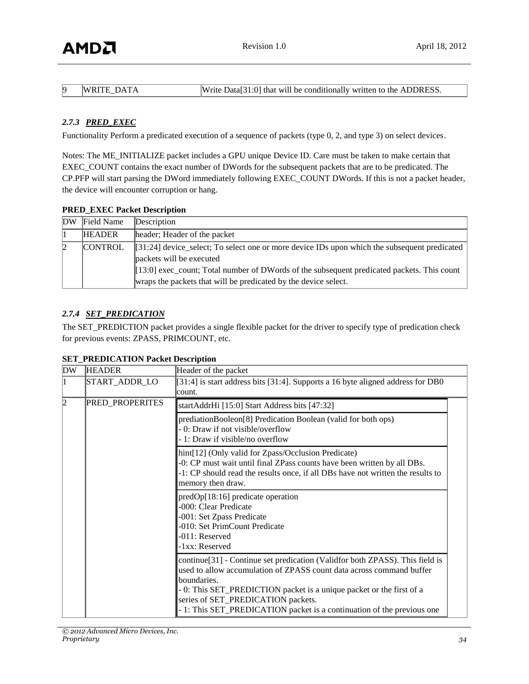| WRITE DATA | Write Data [31:0] that will be conditionally written to the ADDRESS. |
|------------|----------------------------------------------------------------------|
|            |                                                                      |

#### *2.7.3 PRED\_EXEC*

Functionality Perform a predicated execution of a sequence of packets (type 0, 2, and type 3) on select devices.

Notes: The ME\_INITIALIZE packet includes a GPU unique Device ID. Care must be taken to make certain that EXEC\_COUNT contains the exact number of DWords for the subsequent packets that are to be predicated. The CP.PFP will start parsing the DWord immediately following EXEC\_COUNT DWords. If this is not a packet header, the device will encounter corruption or hang.

#### **PRED\_EXEC Packet Description**

| DW | Field Name     | Description                                                                                                                                                                                                                                                                                  |
|----|----------------|----------------------------------------------------------------------------------------------------------------------------------------------------------------------------------------------------------------------------------------------------------------------------------------------|
|    | <b>HEADER</b>  | header; Header of the packet                                                                                                                                                                                                                                                                 |
|    | <b>CONTROL</b> | $[31:24]$ device_select; To select one or more device IDs upon which the subsequent predicated<br>packets will be executed<br>[[13:0] exec_count; Total number of DWords of the subsequent predicated packets. This count<br>wraps the packets that will be predicated by the device select. |

#### *2.7.4 SET\_PREDICATION*

The SET\_PREDICTION packet provides a single flexible packet for the driver to specify type of predication check for previous events: ZPASS, PRIMCOUNT, etc.

| DW | <b>HEADER</b>          | Header of the packet                                                                                                                                                                                                                                                                                                                                        |
|----|------------------------|-------------------------------------------------------------------------------------------------------------------------------------------------------------------------------------------------------------------------------------------------------------------------------------------------------------------------------------------------------------|
| 11 | START_ADDR_LO          | [31:4] is start address bits [31:4]. Supports a 16 byte aligned address for DB0<br>lcount.                                                                                                                                                                                                                                                                  |
| 12 | <b>PRED_PROPERITES</b> | startAddrHi [15:0] Start Address bits [47:32]                                                                                                                                                                                                                                                                                                               |
|    |                        | prediationBooleon[8] Predication Boolean (valid for both ops)<br>- 0: Draw if not visible/overflow<br>- 1: Draw if visible/no overflow                                                                                                                                                                                                                      |
|    |                        | hint[12] (Only valid for Zpass/Occlusion Predicate)<br>-0: CP must wait until final ZPass counts have been written by all DBs.<br>-1: CP should read the results once, if all DBs have not written the results to<br>memory then draw.                                                                                                                      |
|    |                        | predOp[18:16] predicate operation<br>-000: Clear Predicate<br>-001: Set Zpass Predicate<br>-010: Set PrimCount Predicate<br>-011: Reserved<br>-1xx: Reserved                                                                                                                                                                                                |
|    |                        | continue[31] - Continue set predication (Validfor both ZPASS). This field is<br>used to allow accumulation of ZPASS count data across command buffer<br>boundaries.<br>- 0: This SET_PREDICTION packet is a unique packet or the first of a<br>series of SET_PREDICATION packets.<br>- 1: This SET_PREDICATION packet is a continuation of the previous one |

#### **SET\_PREDICATION Packet Description**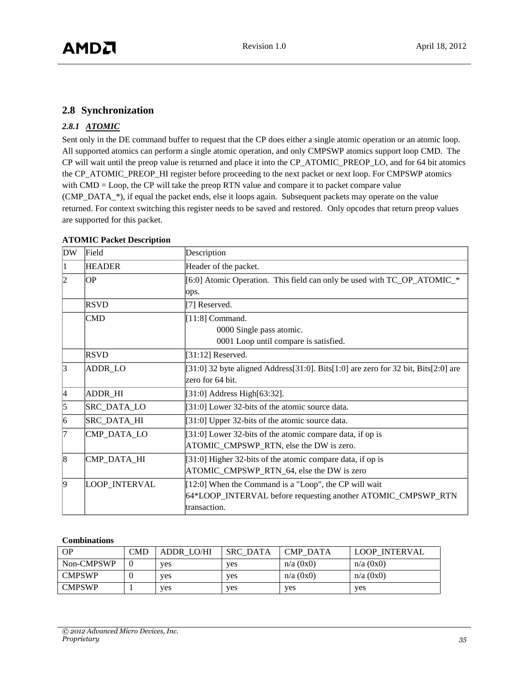## <span id="page-34-0"></span>**2.8 Synchronization**

#### *2.8.1 ATOMIC*

Sent only in the DE command buffer to request that the CP does either a single atomic operation or an atomic loop. All supported atomics can perform a single atomic operation, and only CMPSWP atomics support loop CMD. The CP will wait until the preop value is returned and place it into the CP\_ATOMIC\_PREOP\_LO, and for 64 bit atomics the CP\_ATOMIC\_PREOP\_HI register before proceeding to the next packet or next loop. For CMPSWP atomics with CMD = Loop, the CP will take the preop RTN value and compare it to packet compare value (CMP\_DATA\_\*), if equal the packet ends, else it loops again. Subsequent packets may operate on the value returned. For context switching this register needs to be saved and restored. Only opcodes that return preop values are supported for this packet.

| <b>DW</b>         | Field         | Description                                                                                                                           |
|-------------------|---------------|---------------------------------------------------------------------------------------------------------------------------------------|
|                   | <b>HEADER</b> | Header of the packet.                                                                                                                 |
| ЮP<br>l2<br>lops. |               | [6:0] Atomic Operation. This field can only be used with TC_OP_ATOMIC_*                                                               |
|                   | <b>RSVD</b>   | [7] Reserved.                                                                                                                         |
|                   | <b>CMD</b>    | [ $11:8$ ] Command.<br>0000 Single pass atomic.<br>0001 Loop until compare is satisfied.                                              |
|                   | <b>RSVD</b>   | $[31:12]$ Reserved.                                                                                                                   |
| $\vert$ 3         | ADDR_LO       | [31:0] 32 byte aligned Address[31:0]. Bits[1:0] are zero for 32 bit, Bits[2:0] are<br>zero for 64 bit.                                |
| 4                 | ADDR_HI       | [31:0] Address High[63:32].                                                                                                           |
| 5                 | SRC_DATA_LO   | [31:0] Lower 32-bits of the atomic source data.                                                                                       |
| $\vert 6 \vert$   | SRC_DATA_HI   | [31:0] Upper 32-bits of the atomic source data.                                                                                       |
| l7                | CMP_DATA_LO   | [31:0] Lower 32-bits of the atomic compare data, if op is<br>ATOMIC_CMPSWP_RTN, else the DW is zero.                                  |
| 8                 | CMP_DATA_HI   | [31:0] Higher 32-bits of the atomic compare data, if op is<br>ATOMIC_CMPSWP_RTN_64, else the DW is zero                               |
| $\vert$ 9         | LOOP_INTERVAL | [12:0] When the Command is a "Loop", the CP will wait<br>64*LOOP_INTERVAL before requesting another ATOMIC_CMPSWP_RTN<br>transaction. |

#### **ATOMIC Packet Description**

#### **Combinations**

| <b>OP</b>     | CMD      | ADDR LO/HI | <b>SRC DATA</b> | <b>CMP DATA</b> | <b>LOOP INTERVAL</b> |
|---------------|----------|------------|-----------------|-----------------|----------------------|
| Non-CMPSWP    | $\theta$ | <b>ves</b> | ves             | $n/a$ (0x0)     | $n/a$ (0x0)          |
| <b>CMPSWP</b> | 0        | <b>ves</b> | <b>ves</b>      | $n/a$ (0x0)     | $n/a$ (0x0)          |
| <b>CMPSWP</b> |          | <b>ves</b> | ves             | yes             | yes                  |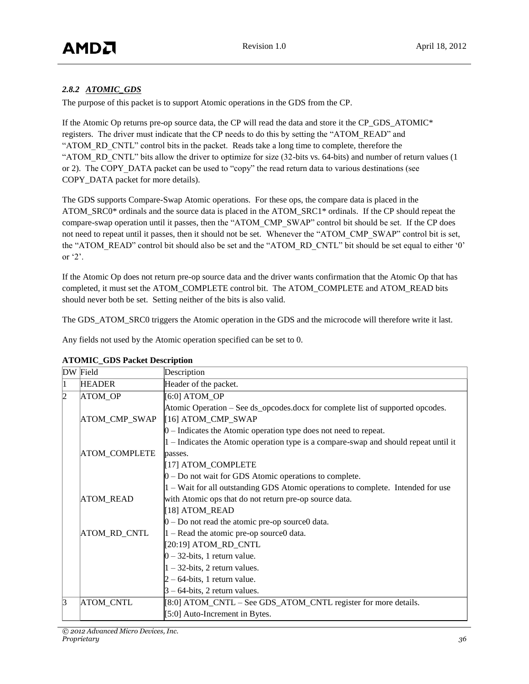## *2.8.2 ATOMIC\_GDS*

The purpose of this packet is to support Atomic operations in the GDS from the CP.

If the Atomic Op returns pre-op source data, the CP will read the data and store it the CP GDS ATOMIC<sup>\*</sup> registers. The driver must indicate that the CP needs to do this by setting the "ATOM\_READ" and "ATOM\_RD\_CNTL" control bits in the packet. Reads take a long time to complete, therefore the "ATOM\_RD\_CNTL" bits allow the driver to optimize for size (32-bits vs. 64-bits) and number of return values (1 or 2). The COPY DATA packet can be used to "copy" the read return data to various destinations (see COPY DATA packet for more details).

The GDS supports Compare-Swap Atomic operations. For these ops, the compare data is placed in the ATOM\_SRC0\* ordinals and the source data is placed in the ATOM\_SRC1\* ordinals. If the CP should repeat the compare-swap operation until it passes, then the "ATOM\_CMP\_SWAP" control bit should be set. If the CP does not need to repeat until it passes, then it should not be set. Whenever the "ATOM\_CMP\_SWAP" control bit is set, the "ATOM\_READ" control bit should also be set and the "ATOM\_RD\_CNTL" bit should be set equal to either '0' or '2'.

If the Atomic Op does not return pre-op source data and the driver wants confirmation that the Atomic Op that has completed, it must set the ATOM\_COMPLETE control bit. The ATOM\_COMPLETE and ATOM\_READ bits should never both be set. Setting neither of the bits is also valid.

The GDS ATOM SRC0 triggers the Atomic operation in the GDS and the microcode will therefore write it last.

Any fields not used by the Atomic operation specified can be set to 0.

|    | DW Field             | Description                                                                                          |  |
|----|----------------------|------------------------------------------------------------------------------------------------------|--|
|    | <b>HEADER</b>        | Header of the packet.                                                                                |  |
|    | <b>ATOM OP</b>       | [6:0] ATOM_OP                                                                                        |  |
|    | ATOM_CMP_SWAP        | Atomic Operation – See ds_opcodes.docx for complete list of supported opcodes.<br>[16] ATOM_CMP_SWAP |  |
|    |                      | $0$ – Indicates the Atomic operation type does not need to repeat.                                   |  |
|    |                      | $1 -$ Indicates the Atomic operation type is a compare-swap and should repeat until it               |  |
|    | <b>ATOM_COMPLETE</b> | passes.                                                                                              |  |
|    |                      | [17] ATOM_COMPLETE                                                                                   |  |
|    |                      | $0 - Do$ not wait for GDS Atomic operations to complete.                                             |  |
|    |                      | 1 – Wait for all outstanding GDS Atomic operations to complete. Intended for use                     |  |
|    | <b>ATOM_READ</b>     | with Atomic ops that do not return pre-op source data.                                               |  |
|    |                      | [18] ATOM_READ                                                                                       |  |
|    |                      | $0 - Do$ not read the atomic pre-op source ddata.                                                    |  |
|    | ATOM_RD_CNTL         | $1 -$ Read the atomic pre-op source 0 data.                                                          |  |
|    |                      | [20:19] ATOM_RD_CNTL                                                                                 |  |
|    |                      | $0 - 32$ -bits, 1 return value.                                                                      |  |
|    |                      | $1 - 32$ -bits, 2 return values.                                                                     |  |
|    |                      | $2 - 64$ -bits, 1 return value.                                                                      |  |
|    |                      | $3 - 64$ -bits, 2 return values.                                                                     |  |
| 13 | <b>ATOM_CNTL</b>     | [8:0] ATOM_CNTL – See GDS_ATOM_CNTL register for more details.                                       |  |
|    |                      | $[5:0]$ Auto-Increment in Bytes.                                                                     |  |

#### **ATOMIC\_GDS Packet Description**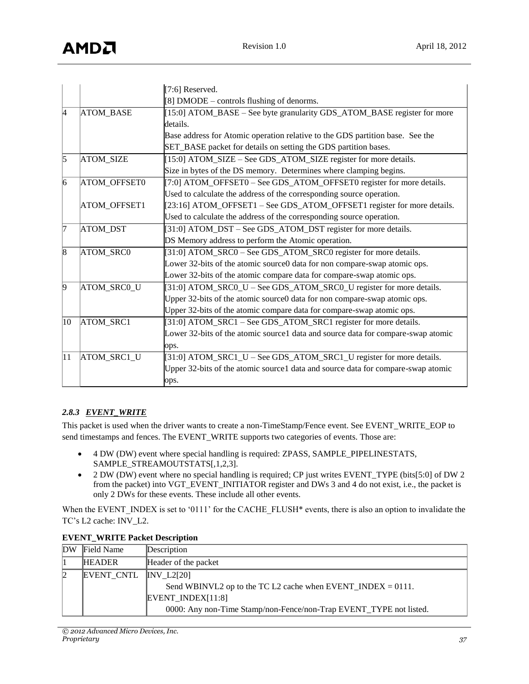|              |                  | [7:6] Reserved.                                                                  |
|--------------|------------------|----------------------------------------------------------------------------------|
|              |                  | [8] DMODE – controls flushing of denorms.                                        |
| 4            | <b>ATOM BASE</b> | [15:0] ATOM_BASE – See byte granularity GDS_ATOM_BASE register for more          |
|              |                  | details.                                                                         |
|              |                  | Base address for Atomic operation relative to the GDS partition base. See the    |
|              |                  | SET_BASE packet for details on setting the GDS partition bases.                  |
| $\vert$ 5    | ATOM_SIZE        | [15:0] ATOM_SIZE – See GDS_ATOM_SIZE register for more details.                  |
|              |                  | Size in bytes of the DS memory. Determines where clamping begins.                |
| 6            | ATOM_OFFSET0     | [7:0] ATOM_OFFSET0 - See GDS_ATOM_OFFSET0 register for more details.             |
|              |                  | Used to calculate the address of the corresponding source operation.             |
|              | ATOM_OFFSET1     | [23:16] ATOM_OFFSET1 – See GDS_ATOM_OFFSET1 register for more details.           |
|              |                  | Used to calculate the address of the corresponding source operation.             |
| 17           | ATOM_DST         | [31:0] ATOM_DST – See GDS_ATOM_DST register for more details.                    |
|              |                  | DS Memory address to perform the Atomic operation.                               |
| $\vert 8$    | ATOM_SRC0        | [31:0] ATOM_SRC0 - See GDS_ATOM_SRC0 register for more details.                  |
|              |                  | Lower 32-bits of the atomic source0 data for non compare-swap atomic ops.        |
|              |                  | Lower 32-bits of the atomic compare data for compare-swap atomic ops.            |
| $\vert$ 9    | ATOM_SRC0_U      | [31:0] ATOM_SRC0_U - See GDS_ATOM_SRC0_U register for more details.              |
|              |                  | Upper 32-bits of the atomic source0 data for non compare-swap atomic ops.        |
|              |                  | Upper 32-bits of the atomic compare data for compare-swap atomic ops.            |
| 10           | ATOM_SRC1        | [31:0] ATOM_SRC1 – See GDS_ATOM_SRC1 register for more details.                  |
|              |                  | Lower 32-bits of the atomic source1 data and source data for compare-swap atomic |
|              |                  | ops.                                                                             |
| $ 11\rangle$ | ATOM_SRC1_U      | [31:0] ATOM_SRC1_U - See GDS_ATOM_SRC1_U register for more details.              |
|              |                  | Upper 32-bits of the atomic source1 data and source data for compare-swap atomic |
|              |                  | ops.                                                                             |

## *2.8.3 EVENT\_WRITE*

This packet is used when the driver wants to create a non-TimeStamp/Fence event. See EVENT\_WRITE\_EOP to send timestamps and fences. The EVENT\_WRITE supports two categories of events. Those are:

- 4 DW (DW) event where special handling is required: ZPASS, SAMPLE\_PIPELINESTATS, SAMPLE\_STREAMOUTSTATS[,1,2,3].
- 2 DW (DW) event where no special handling is required; CP just writes EVENT\_TYPE (bits[5:0] of DW 2 from the packet) into VGT\_EVENT\_INITIATOR register and DWs 3 and 4 do not exist, i.e., the packet is only 2 DWs for these events. These include all other events.

When the EVENT\_INDEX is set to '0111' for the CACHE\_FLUSH\* events, there is also an option to invalidate the TC's L2 cache: INV\_L2.

| DW | Field Name    | Description                                                        |
|----|---------------|--------------------------------------------------------------------|
|    | <b>HEADER</b> | Header of the packet                                               |
|    | EVENT CNTL    | INV L2[20]                                                         |
|    |               | Send WBINVL2 op to the TC L2 cache when EVENT_INDEX = $0111$ .     |
|    |               | EVENT INDEX $[11:8]$                                               |
|    |               | 0000: Any non-Time Stamp/non-Fence/non-Trap EVENT_TYPE not listed. |

## **EVENT\_WRITE Packet Description**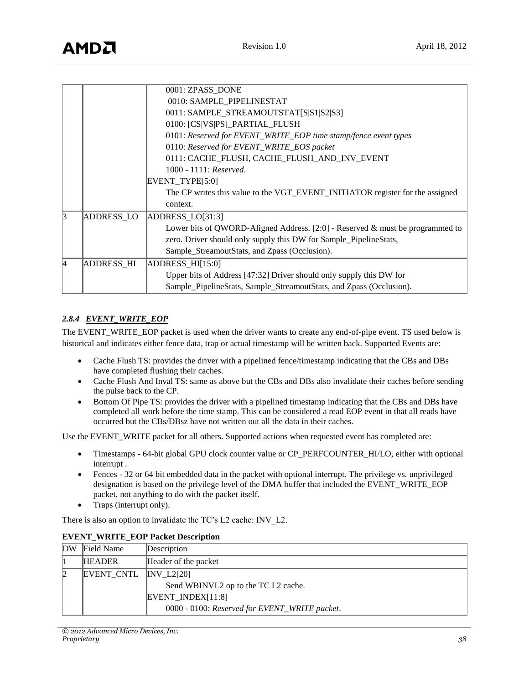# AMDA

|    |                   | 0001: ZPASS DONE                                                              |  |
|----|-------------------|-------------------------------------------------------------------------------|--|
|    |                   | 0010: SAMPLE_PIPELINESTAT                                                     |  |
|    |                   | 0011: SAMPLE_STREAMOUTSTAT[S S1 S2 S3]                                        |  |
|    |                   | 0100: [CS VS PS]_PARTIAL_FLUSH                                                |  |
|    |                   | 0101: Reserved for EVENT_WRITE_EOP time stamp/fence event types               |  |
|    |                   | 0110: Reserved for EVENT_WRITE_EOS packet                                     |  |
|    |                   | 0111: CACHE_FLUSH, CACHE_FLUSH_AND_INV_EVENT                                  |  |
|    |                   | $1000 - 1111$ : Reserved.                                                     |  |
|    |                   | EVENT TYPE[5:0]                                                               |  |
|    |                   | The CP writes this value to the VGT_EVENT_INITIATOR register for the assigned |  |
|    |                   | context.                                                                      |  |
| 3  | ADDRESS_LO        | $ADDRESS\_LO[31:3]$                                                           |  |
|    |                   | Lower bits of QWORD-Aligned Address. [2:0] - Reserved & must be programmed to |  |
|    |                   | zero. Driver should only supply this DW for Sample_PipelineStats,             |  |
|    |                   | Sample_StreamoutStats, and Zpass (Occlusion).                                 |  |
| 14 | <b>ADDRESS HI</b> | $ADDRESS_HI[15:0]$                                                            |  |
|    |                   | Upper bits of Address [47:32] Driver should only supply this DW for           |  |
|    |                   | Sample_PipelineStats, Sample_StreamoutStats, and Zpass (Occlusion).           |  |

#### *2.8.4 EVENT\_WRITE\_EOP*

The EVENT\_WRITE\_EOP packet is used when the driver wants to create any end-of-pipe event. TS used below is historical and indicates either fence data, trap or actual timestamp will be written back. Supported Events are:

- Cache Flush TS: provides the driver with a pipelined fence/timestamp indicating that the CBs and DBs have completed flushing their caches.
- Cache Flush And Inval TS: same as above but the CBs and DBs also invalidate their caches before sending the pulse back to the CP.
- Bottom Of Pipe TS: provides the driver with a pipelined timestamp indicating that the CBs and DBs have completed all work before the time stamp. This can be considered a read EOP event in that all reads have occurred but the CBs/DBsz have not written out all the data in their caches.

Use the EVENT\_WRITE packet for all others. Supported actions when requested event has completed are:

- Timestamps 64-bit global GPU clock counter value or CP\_PERFCOUNTER\_HI/LO, either with optional interrupt .
- Fences 32 or 64 bit embedded data in the packet with optional interrupt. The privilege vs. unprivileged designation is based on the privilege level of the DMA buffer that included the EVENT\_WRITE\_EOP packet, not anything to do with the packet itself.
- Traps (interrupt only).

There is also an option to invalidate the TC's L2 cache: INV\_L2.

| DW | Field Name    | Description                                   |
|----|---------------|-----------------------------------------------|
|    | <b>HEADER</b> | Header of the packet                          |
|    | EVENT CNTL    | INV L2[20]                                    |
|    |               | Send WBINVL2 op to the TC L2 cache.           |
|    |               | EVENT INDEX[11:8]                             |
|    |               | 0000 - 0100: Reserved for EVENT_WRITE packet. |

#### **EVENT\_WRITE\_EOP Packet Description**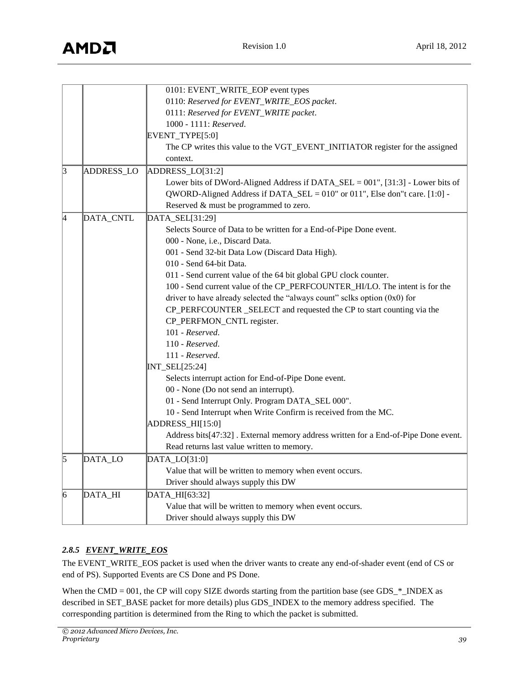|                |            | 0101: EVENT_WRITE_EOP event types                                                  |
|----------------|------------|------------------------------------------------------------------------------------|
|                |            | 0110: Reserved for EVENT_WRITE_EOS packet.                                         |
|                |            | 0111: Reserved for EVENT_WRITE packet.                                             |
|                |            | 1000 - 1111: Reserved.                                                             |
|                |            | EVENT_TYPE[5:0]                                                                    |
|                |            | The CP writes this value to the VGT_EVENT_INITIATOR register for the assigned      |
|                |            | context.                                                                           |
| $\overline{3}$ | ADDRESS_LO | ADDRESS_LO[31:2]                                                                   |
|                |            | Lower bits of DWord-Aligned Address if DATA_SEL = 001", [31:3] - Lower bits of     |
|                |            | QWORD-Aligned Address if DATA_SEL = 010" or 011", Else don"t care. [1:0] -         |
|                |            | Reserved & must be programmed to zero.                                             |
| 4              | DATA_CNTL  | DATA_SEL[31:29]                                                                    |
|                |            | Selects Source of Data to be written for a End-of-Pipe Done event.                 |
|                |            | 000 - None, i.e., Discard Data.                                                    |
|                |            | 001 - Send 32-bit Data Low (Discard Data High).                                    |
|                |            | 010 - Send 64-bit Data.                                                            |
|                |            | 011 - Send current value of the 64 bit global GPU clock counter.                   |
|                |            | 100 - Send current value of the CP_PERFCOUNTER_HI/LO. The intent is for the        |
|                |            | driver to have already selected the "always count" sclks option $(0x0)$ for        |
|                |            | CP_PERFCOUNTER_SELECT and requested the CP to start counting via the               |
|                |            | CP_PERFMON_CNTL register.                                                          |
|                |            | $101$ - Reserved.                                                                  |
|                |            | 110 - Reserved.                                                                    |
|                |            | $111$ - Reserved.                                                                  |
|                |            | INT_SEL[25:24]                                                                     |
|                |            | Selects interrupt action for End-of-Pipe Done event.                               |
|                |            | 00 - None (Do not send an interrupt).                                              |
|                |            | 01 - Send Interrupt Only. Program DATA_SEL 000".                                   |
|                |            | 10 - Send Interrupt when Write Confirm is received from the MC.                    |
|                |            | ADDRESS_HI[15:0]                                                                   |
|                |            | Address bits[47:32]. External memory address written for a End-of-Pipe Done event. |
|                |            | Read returns last value written to memory.                                         |
| 5              | DATA_LO    | DATA_LO[31:0]                                                                      |
|                |            | Value that will be written to memory when event occurs.                            |
|                |            | Driver should always supply this DW                                                |
| 6              | DATA_HI    | DATA_HI[63:32]                                                                     |
|                |            | Value that will be written to memory when event occurs.                            |
|                |            | Driver should always supply this DW                                                |

## *2.8.5 EVENT\_WRITE\_EOS*

The EVENT\_WRITE\_EOS packet is used when the driver wants to create any end-of-shader event (end of CS or end of PS). Supported Events are CS Done and PS Done.

When the CMD = 001, the CP will copy SIZE dwords starting from the partition base (see GDS\_\*\_INDEX as described in SET\_BASE packet for more details) plus GDS\_INDEX to the memory address specified. The corresponding partition is determined from the Ring to which the packet is submitted.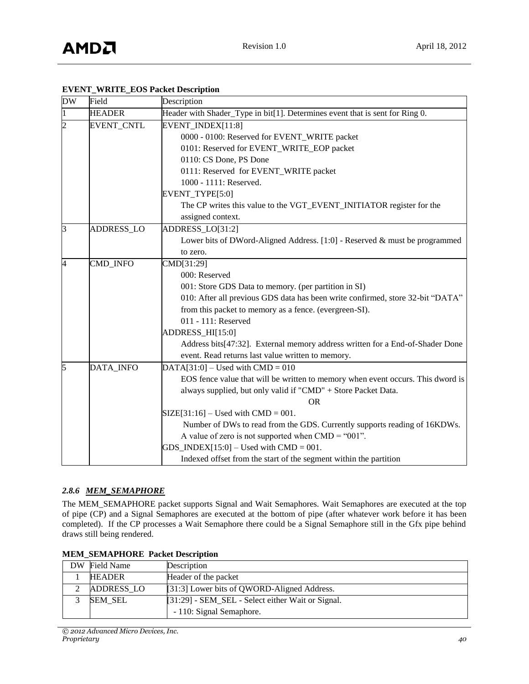| <b>DW</b>      | Field             | Description                                                                     |
|----------------|-------------------|---------------------------------------------------------------------------------|
| $\mathbf{1}$   | <b>HEADER</b>     | Header with Shader_Type in bit[1]. Determines event that is sent for Ring 0.    |
| $\overline{c}$ | EVENT_CNTL        | EVENT_INDEX[11:8]                                                               |
|                |                   | 0000 - 0100: Reserved for EVENT_WRITE packet                                    |
|                |                   | 0101: Reserved for EVENT_WRITE_EOP packet                                       |
|                |                   | 0110: CS Done, PS Done                                                          |
|                |                   | 0111: Reserved for EVENT_WRITE packet                                           |
|                |                   | 1000 - 1111: Reserved.                                                          |
|                |                   | EVENT_TYPE[5:0]                                                                 |
|                |                   | The CP writes this value to the VGT_EVENT_INITIATOR register for the            |
|                |                   | assigned context.                                                               |
| 3              | <b>ADDRESS_LO</b> | ADDRESS_LO[31:2]                                                                |
|                |                   | Lower bits of DWord-Aligned Address. [1:0] - Reserved & must be programmed      |
|                |                   | to zero.                                                                        |
| $\overline{4}$ | CMD_INFO          | CMD[31:29]                                                                      |
|                |                   | 000: Reserved                                                                   |
|                |                   | 001: Store GDS Data to memory. (per partition in SI)                            |
|                |                   | 010: After all previous GDS data has been write confirmed, store 32-bit "DATA"  |
|                |                   | from this packet to memory as a fence. (evergreen-SI).                          |
|                |                   | 011 - 111: Reserved                                                             |
|                |                   | ADDRESS_HI[15:0]                                                                |
|                |                   | Address bits[47:32]. External memory address written for a End-of-Shader Done   |
|                |                   | event. Read returns last value written to memory.                               |
| 5              | DATA_INFO         | $DATA[31:0]$ – Used with CMD = 010                                              |
|                |                   | EOS fence value that will be written to memory when event occurs. This dword is |
|                |                   | always supplied, but only valid if "CMD" + Store Packet Data.                   |
|                |                   | <b>OR</b>                                                                       |
|                |                   | $SIZE[31:16]$ – Used with CMD = 001.                                            |
|                |                   | Number of DWs to read from the GDS. Currently supports reading of 16KDWs.       |
|                |                   | A value of zero is not supported when $CMD = "001".$                            |
|                |                   | $GDS$ _INDEX[15:0] – Used with CMD = 001.                                       |
|                |                   | Indexed offset from the start of the segment within the partition               |

#### **EVENT\_WRITE\_EOS Packet Description**

#### *2.8.6 MEM\_SEMAPHORE*

The MEM\_SEMAPHORE packet supports Signal and Wait Semaphores. Wait Semaphores are executed at the top of pipe (CP) and a Signal Semaphores are executed at the bottom of pipe (after whatever work before it has been completed). If the CP processes a Wait Semaphore there could be a Signal Semaphore still in the Gfx pipe behind draws still being rendered.

| DW | Field Name        | Description                                       |
|----|-------------------|---------------------------------------------------|
|    | <b>HEADER</b>     | Header of the packet                              |
|    | <b>ADDRESS LO</b> | [31:3] Lower bits of QWORD-Aligned Address.       |
|    | <b>SEM SEL</b>    | [31:29] - SEM_SEL - Select either Wait or Signal. |
|    |                   | - 110: Signal Semaphore.                          |

#### **MEM\_SEMAPHORE Packet Description**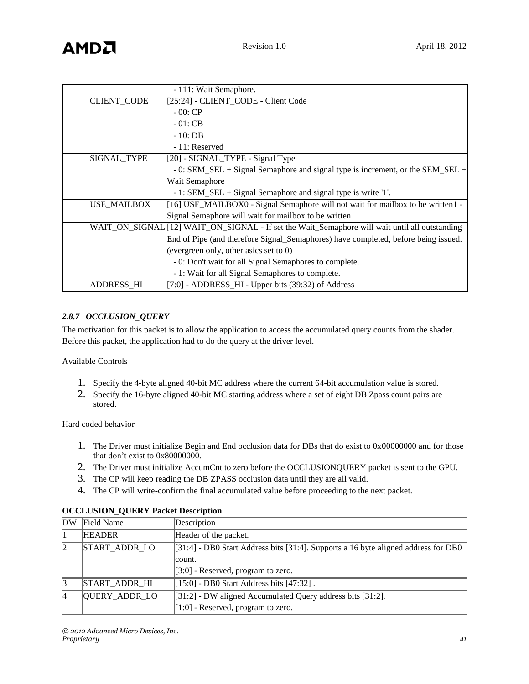|                    | - 111: Wait Semaphore.                                                                         |
|--------------------|------------------------------------------------------------------------------------------------|
| <b>CLIENT_CODE</b> | [25:24] - CLIENT_CODE - Client Code                                                            |
|                    | $-00:CP$                                                                                       |
|                    | $-01:CB$                                                                                       |
|                    | $-10:DB$                                                                                       |
|                    | - 11: Reserved                                                                                 |
| SIGNAL_TYPE        | [20] - SIGNAL_TYPE - Signal Type                                                               |
|                    | - 0: SEM_SEL + Signal Semaphore and signal type is increment, or the SEM_SEL +                 |
|                    | Wait Semaphore                                                                                 |
|                    | $-1$ : SEM_SEL + Signal Semaphore and signal type is write '1'.                                |
| USE_MAILBOX        | [16] USE_MAILBOX0 - Signal Semaphore will not wait for mailbox to be written1 -                |
|                    | Signal Semaphore will wait for mailbox to be written                                           |
|                    | WAIT_ON_SIGNAL [12] WAIT_ON_SIGNAL - If set the Wait_Semaphore will wait until all outstanding |
|                    | End of Pipe (and therefore Signal_Semaphores) have completed, before being issued.             |
|                    | (evergreen only, other asics set to 0)                                                         |
|                    | - 0: Don't wait for all Signal Semaphores to complete.                                         |
|                    | - 1: Wait for all Signal Semaphores to complete.                                               |
| <b>ADDRESS HI</b>  | $[7:0]$ - ADDRESS_HI - Upper bits (39:32) of Address                                           |

#### *2.8.7 OCCLUSION\_QUERY*

The motivation for this packet is to allow the application to access the accumulated query counts from the shader. Before this packet, the application had to do the query at the driver level.

Available Controls

- 1. Specify the 4-byte aligned 40-bit MC address where the current 64-bit accumulation value is stored.
- 2. Specify the 16-byte aligned 40-bit MC starting address where a set of eight DB Zpass count pairs are stored.

Hard coded behavior

- 1. The Driver must initialize Begin and End occlusion data for DBs that do exist to 0x00000000 and for those that don't exist to 0x80000000.
- 2. The Driver must initialize AccumCnt to zero before the OCCLUSIONQUERY packet is sent to the GPU.
- 3. The CP will keep reading the DB ZPASS occlusion data until they are all valid.
- 4. The CP will write-confirm the final accumulated value before proceeding to the next packet.

| DW              | Field Name           | Description                                                                          |  |
|-----------------|----------------------|--------------------------------------------------------------------------------------|--|
|                 | <b>HEADER</b>        | Header of the packet.                                                                |  |
| 2               | START_ADDR_LO        | $[31:4]$ - DB0 Start Address bits [31:4]. Supports a 16 byte aligned address for DB0 |  |
|                 |                      | count.                                                                               |  |
|                 |                      | $[3:0]$ - Reserved, program to zero.                                                 |  |
| 13              | <b>START ADDR HI</b> | $[15:0]$ - DB0 Start Address bits [47:32].                                           |  |
| $\vert 4 \vert$ | <b>QUERY ADDR LO</b> | [31:2] - DW aligned Accumulated Query address bits [31:2].                           |  |
|                 |                      | $[1:0]$ - Reserved, program to zero.                                                 |  |

#### **OCCLUSION\_QUERY Packet Description**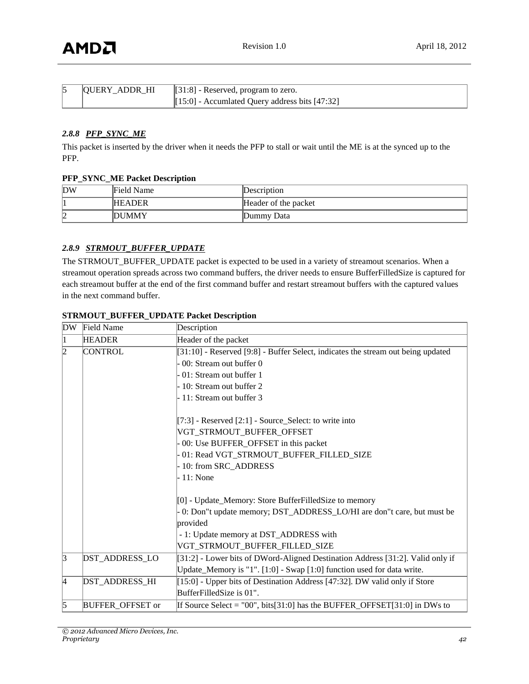| <b>QUERY ADDR HI</b> | $[31:8]$ - Reserved, program to zero.            |  |
|----------------------|--------------------------------------------------|--|
|                      | $[15:0]$ - Accumlated Query address bits [47:32] |  |

#### *2.8.8 PFP\_SYNC\_ME*

This packet is inserted by the driver when it needs the PFP to stall or wait until the ME is at the synced up to the PFP.

#### **PFP\_SYNC\_ME Packet Description**

| DW      | Field Name    | Description          |
|---------|---------------|----------------------|
|         | <b>HEADER</b> | Header of the packet |
| רי<br>ı | DUMMY         | Dummy Data           |

#### *2.8.9 STRMOUT\_BUFFER\_UPDATE*

The STRMOUT\_BUFFER\_UPDATE packet is expected to be used in a variety of streamout scenarios. When a streamout operation spreads across two command buffers, the driver needs to ensure BufferFilledSize is captured for each streamout buffer at the end of the first command buffer and restart streamout buffers with the captured values in the next command buffer.

| <b>DW</b> | <b>Field Name</b>       | Description                                                                      |  |
|-----------|-------------------------|----------------------------------------------------------------------------------|--|
|           | <b>HEADER</b>           | Header of the packet                                                             |  |
| 12        | <b>CONTROL</b>          | [31:10] - Reserved [9:8] - Buffer Select, indicates the stream out being updated |  |
|           |                         | 00: Stream out buffer 0                                                          |  |
|           |                         | 01: Stream out buffer 1                                                          |  |
|           |                         | 10: Stream out buffer 2                                                          |  |
|           |                         | 11: Stream out buffer 3                                                          |  |
|           |                         | $[7:3]$ - Reserved $[2:1]$ - Source_Select: to write into                        |  |
|           |                         | VGT_STRMOUT_BUFFER_OFFSET                                                        |  |
|           |                         | 00: Use BUFFER_OFFSET in this packet                                             |  |
|           |                         | 01: Read VGT_STRMOUT_BUFFER_FILLED_SIZE                                          |  |
|           |                         | 10: from SRC_ADDRESS                                                             |  |
|           |                         | 11: None                                                                         |  |
|           |                         | [0] - Update_Memory: Store BufferFilledSize to memory                            |  |
|           |                         | - 0: Don"t update memory; DST_ADDRESS_LO/HI are don"t care, but must be          |  |
|           |                         | provided                                                                         |  |
|           |                         | - 1: Update memory at DST_ADDRESS with                                           |  |
|           |                         | VGT_STRMOUT_BUFFER_FILLED_SIZE                                                   |  |
| $\vert$ 3 | DST_ADDRESS_LO          | [31:2] - Lower bits of DWord-Aligned Destination Address [31:2]. Valid only if   |  |
|           |                         | Update_Memory is "1". [1:0] - Swap [1:0] function used for data write.           |  |
| 14        | DST_ADDRESS_HI          | [15:0] - Upper bits of Destination Address [47:32]. DW valid only if Store       |  |
|           |                         | BufferFilledSize is 01".                                                         |  |
| 15        | <b>BUFFER OFFSET or</b> | If Source Select = $"00"$ , bits[31:0] has the BUFFER_OFFSET[31:0] in DWs to     |  |

#### **STRMOUT\_BUFFER\_UPDATE Packet Description**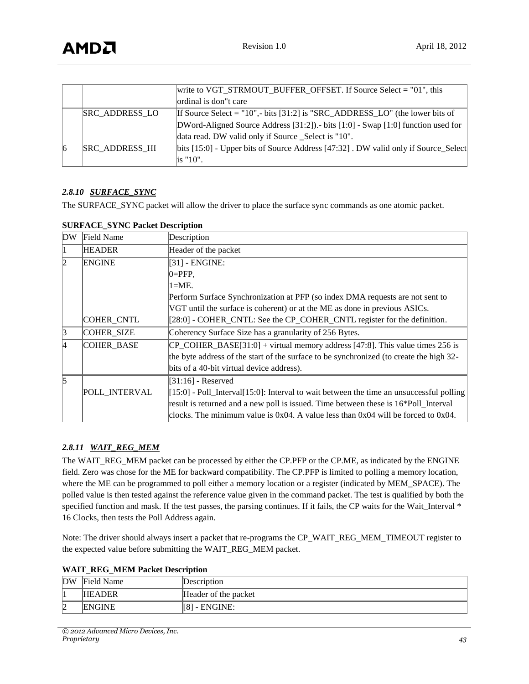|    |                       | write to VGT_STRMOUT_BUFFER_OFFSET. If Source Select = $"01"$ , this               |
|----|-----------------------|------------------------------------------------------------------------------------|
|    |                       | ordinal is don"t care                                                              |
|    | <b>SRC ADDRESS LO</b> | If Source Select = "10",- bits [31:2] is "SRC_ADDRESS_LO" (the lower bits of       |
|    |                       | DWord-Aligned Source Address [31:2]). bits [1:0] - Swap [1:0] function used for    |
|    |                       | data read. DW valid only if Source _Select is "10".                                |
| 16 | <b>SRC ADDRESS HI</b> | bits [15:0] - Upper bits of Source Address [47:32]. DW valid only if Source_Select |
|    |                       | $\overline{\phantom{a}}$ is "10".                                                  |

#### *2.8.10 SURFACE\_SYNC*

The SURFACE\_SYNC packet will allow the driver to place the surface sync commands as one atomic packet.

| DW | Field Name        | Description                                                                                   |  |
|----|-------------------|-----------------------------------------------------------------------------------------------|--|
|    | <b>HEADER</b>     | Header of the packet                                                                          |  |
| 12 | <b>ENGINE</b>     | [31] - ENGINE:                                                                                |  |
|    |                   | $ 0=$ PFP,                                                                                    |  |
|    |                   | $1=ME$ .                                                                                      |  |
|    |                   | Perform Surface Synchronization at PFP (so index DMA requests are not sent to                 |  |
|    |                   | VGT until the surface is coherent) or at the ME as done in previous ASICs.                    |  |
|    | COHER_CNTL        | [28:0] - COHER_CNTL: See the CP_COHER_CNTL register for the definition.                       |  |
|    | COHER SIZE        | Coherency Surface Size has a granularity of 256 Bytes.                                        |  |
| 14 | <b>COHER BASE</b> | $CP$ COHER_BASE[31:0] + virtual memory address [47:8]. This value times 256 is                |  |
|    |                   | the byte address of the start of the surface to be synchronized (to create the high 32-       |  |
|    |                   | bits of a 40-bit virtual device address).                                                     |  |
| 15 |                   | $[31:16]$ - Reserved                                                                          |  |
|    | POLL INTERVAL     | $[15:0]$ - Poll_Interval $[15:0]$ : Interval to wait between the time an unsuccessful polling |  |
|    |                   | result is returned and a new poll is issued. Time between these is 16*Poll_Interval           |  |
|    |                   | clocks. The minimum value is $0x04$ . A value less than $0x04$ will be forced to $0x04$ .     |  |

#### **SURFACE\_SYNC Packet Description**

#### *2.8.11 WAIT\_REG\_MEM*

The WAIT\_REG\_MEM packet can be processed by either the CP.PFP or the CP.ME, as indicated by the ENGINE field. Zero was chose for the ME for backward compatibility. The CP.PFP is limited to polling a memory location, where the ME can be programmed to poll either a memory location or a register (indicated by MEM\_SPACE). The polled value is then tested against the reference value given in the command packet. The test is qualified by both the specified function and mask. If the test passes, the parsing continues. If it fails, the CP waits for the Wait\_Interval \* 16 Clocks, then tests the Poll Address again.

Note: The driver should always insert a packet that re-programs the CP\_WAIT\_REG\_MEM\_TIMEOUT register to the expected value before submitting the WAIT\_REG\_MEM packet.

| <b>WAIT_REG_MEM Packet Description</b> |  |  |  |  |  |
|----------------------------------------|--|--|--|--|--|
|----------------------------------------|--|--|--|--|--|

| DW          | Field Name    | ∥Description         |
|-------------|---------------|----------------------|
| ш           | <b>HEADER</b> | Header of the packet |
| $\sim$<br>⊬ | <b>ENGINE</b> | - ENGINE:<br>[8]     |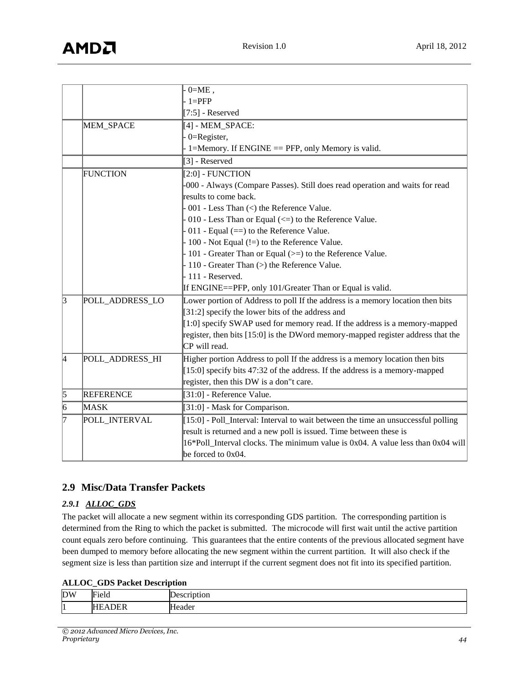|                |                  | $0=ME$ ,                                                                          |
|----------------|------------------|-----------------------------------------------------------------------------------|
|                |                  | $1 = PFP$                                                                         |
|                |                  | $[7:5]$ - Reserved                                                                |
|                | MEM_SPACE        | [4] - MEM_SPACE:                                                                  |
|                |                  | $0 =$ Register,                                                                   |
|                |                  | 1=Memory. If ENGINE == PFP, only Memory is valid.                                 |
|                |                  | [3] - Reserved                                                                    |
|                | <b>FUNCTION</b>  | $[2:0]$ - FUNCTION                                                                |
|                |                  | -000 - Always (Compare Passes). Still does read operation and waits for read      |
|                |                  | results to come back.                                                             |
|                |                  | 001 - Less Than $\left\langle \right\rangle$ the Reference Value.                 |
|                |                  | 010 - Less Than or Equal $(\leq)$ to the Reference Value.                         |
|                |                  | 011 - Equal $(==)$ to the Reference Value.                                        |
|                |                  | 100 - Not Equal (!=) to the Reference Value.                                      |
|                |                  | 101 - Greater Than or Equal (>=) to the Reference Value.                          |
|                |                  | 110 - Greater Than (>) the Reference Value.                                       |
|                |                  | $-111$ - Reserved.                                                                |
|                |                  | If ENGINE==PFP, only 101/Greater Than or Equal is valid.                          |
| $\overline{3}$ | POLL_ADDRESS_LO  | Lower portion of Address to poll If the address is a memory location then bits    |
|                |                  | [31:2] specify the lower bits of the address and                                  |
|                |                  | [1:0] specify SWAP used for memory read. If the address is a memory-mapped        |
|                |                  | register, then bits [15:0] is the DWord memory-mapped register address that the   |
|                |                  | CP will read.                                                                     |
| 4              | POLL_ADDRESS_HI  | Higher portion Address to poll If the address is a memory location then bits      |
|                |                  | [15:0] specify bits 47:32 of the address. If the address is a memory-mapped       |
|                |                  | register, then this DW is a don"t care.                                           |
| $\overline{5}$ | <b>REFERENCE</b> | $[31:0]$ - Reference Value.                                                       |
| 6              | <b>MASK</b>      | [31:0] - Mask for Comparison.                                                     |
| 17             | POLL_INTERVAL    | [15:0] - Poll_Interval: Interval to wait between the time an unsuccessful polling |
|                |                  | result is returned and a new poll is issued. Time between these is                |
|                |                  | 16*Poll_Interval clocks. The minimum value is 0x04. A value less than 0x04 will   |
|                |                  | be forced to $0x04$ .                                                             |

## <span id="page-43-0"></span>**2.9 Misc/Data Transfer Packets**

## *2.9.1 ALLOC\_GDS*

The packet will allocate a new segment within its corresponding GDS partition. The corresponding partition is determined from the Ring to which the packet is submitted. The microcode will first wait until the active partition count equals zero before continuing. This guarantees that the entire contents of the previous allocated segment have been dumped to memory before allocating the new segment within the current partition. It will also check if the segment size is less than partition size and interrupt if the current segment does not fit into its specified partition.

#### **ALLOC\_GDS Packet Description**

| <b>DW</b> | 'n.<br><b>Field</b>                                            | $ -$             |
|-----------|----------------------------------------------------------------|------------------|
| l1        | $\overline{\phantom{m}}$<br>-<br>$\overline{\phantom{a}}$<br>. | leader<br>н<br>. |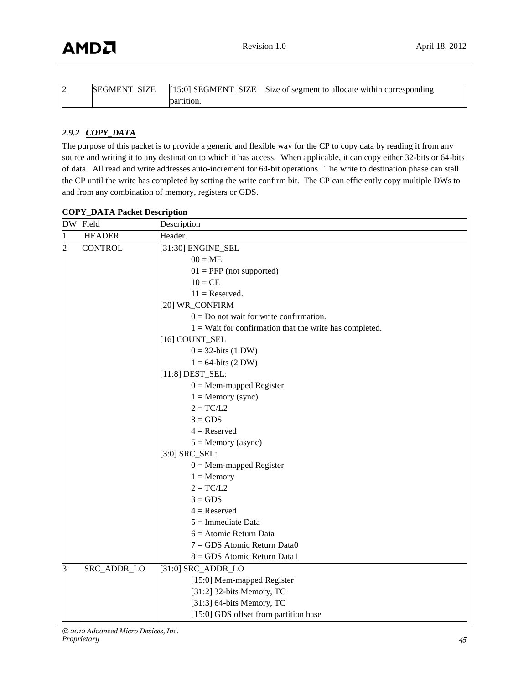| L | <b>SEGMENT SIZE</b> | $[15:0]$ SEGMENT_SIZE – Size of segment to allocate within corresponding |
|---|---------------------|--------------------------------------------------------------------------|
|   |                     | partition.                                                               |

## *2.9.2 COPY\_DATA*

The purpose of this packet is to provide a generic and flexible way for the CP to copy data by reading it from any source and writing it to any destination to which it has access. When applicable, it can copy either 32-bits or 64-bits of data. All read and write addresses auto-increment for 64-bit operations. The write to destination phase can stall the CP until the write has completed by setting the write confirm bit. The CP can efficiently copy multiple DWs to and from any combination of memory, registers or GDS.

| DW             | Field          | Description                                               |  |
|----------------|----------------|-----------------------------------------------------------|--|
| 1              | <b>HEADER</b>  | Header.                                                   |  |
| $\overline{2}$ | <b>CONTROL</b> | [31:30] ENGINE_SEL                                        |  |
|                |                | $00 = ME$                                                 |  |
|                |                | $01 = PFP$ (not supported)                                |  |
|                |                | $10 = CE$                                                 |  |
|                |                | $11 =$ Reserved.                                          |  |
|                |                | [20] WR_CONFIRM                                           |  |
|                |                | $0 = Do$ not wait for write confirmation.                 |  |
|                |                | $1 =$ Wait for confirmation that the write has completed. |  |
|                |                | [16] COUNT_SEL                                            |  |
|                |                | $0 = 32$ -bits (1 DW)                                     |  |
|                |                | $1 = 64$ -bits (2 DW)                                     |  |
|                |                | $[11:8]$ DEST_SEL:                                        |  |
|                |                | $0 =$ Mem-mapped Register                                 |  |
|                |                | $1 =$ Memory (sync)                                       |  |
|                |                | $2 = TC/L2$                                               |  |
|                |                | $3 = GDS$                                                 |  |
|                |                | $4 =$ Reserved                                            |  |
|                |                | $5 =$ Memory (async)                                      |  |
|                |                | $[3:0]$ SRC_SEL:                                          |  |
|                |                | $0 =$ Mem-mapped Register                                 |  |
|                |                | $1 =$ Memory                                              |  |
|                |                | $2 = TC/L2$                                               |  |
|                |                | $3 = GDS$                                                 |  |
|                |                | $4 =$ Reserved                                            |  |
|                |                | $5 =$ Immediate Data                                      |  |
|                |                | $6 =$ Atomic Return Data                                  |  |
|                |                | $7 = GDS$ Atomic Return Data0                             |  |
|                |                | 8 = GDS Atomic Return Data1                               |  |
| 3              | SRC_ADDR_LO    | $[31:0]$ SRC_ADDR_LO                                      |  |
|                |                | [15:0] Mem-mapped Register                                |  |
|                |                | [31:2] 32-bits Memory, $TC$                               |  |
|                |                | [31:3] 64-bits Memory, $TC$                               |  |
|                |                | [15:0] GDS offset from partition base                     |  |

#### **COPY\_DATA Packet Description**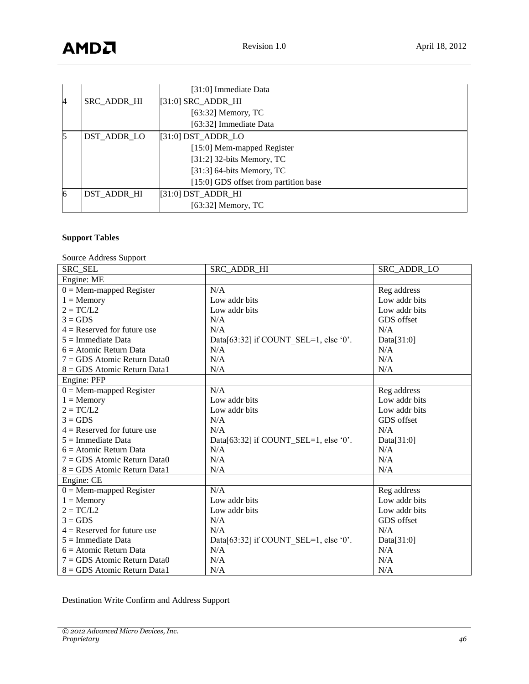|   |                    | [31:0] Immediate Data                 |  |
|---|--------------------|---------------------------------------|--|
| 4 | SRC_ADDR_HI        | $[31:0]$ SRC_ADDR_HI                  |  |
|   |                    | $[63:32]$ Memory, TC                  |  |
|   |                    | [63:32] Immediate Data                |  |
| 5 | <b>DST ADDR LO</b> | $[31:0]$ DST_ADDR_LO                  |  |
|   |                    | [15:0] Mem-mapped Register            |  |
|   |                    | [31:2] 32-bits Memory, $TC$           |  |
|   |                    | [31:3] 64-bits Memory, $TC$           |  |
|   |                    | [15:0] GDS offset from partition base |  |
| 6 | <b>DST ADDR HI</b> | $[31:0]$ DST_ADDR_HI                  |  |
|   |                    | $[63:32]$ Memory, TC                  |  |

## **Support Tables**

Source Address Support

| <b>SRC SEL</b>                | SRC ADDR HI                              | SRC ADDR LO   |
|-------------------------------|------------------------------------------|---------------|
| Engine: ME                    |                                          |               |
| $0 =$ Mem-mapped Register     | N/A                                      | Reg address   |
| $1 =$ Memory                  | Low addr bits                            | Low addr bits |
| $2 = TC/L2$                   | Low addr bits                            | Low addr bits |
| $3 = GDS$                     | N/A                                      | GDS offset    |
| $4 =$ Reserved for future use | N/A                                      | N/A           |
| $5 =$ Immediate Data          | Data[63:32] if COUNT_SEL=1, else '0'.    | Data $[31:0]$ |
| $6 =$ Atomic Return Data      | N/A                                      | N/A           |
| $7 = GDS$ Atomic Return Data0 | N/A                                      | N/A           |
| 8 = GDS Atomic Return Data1   | N/A                                      | N/A           |
| Engine: PFP                   |                                          |               |
| $0 =$ Mem-mapped Register     | N/A                                      | Reg address   |
| $1 =$ Memory                  | Low addr bits                            | Low addr bits |
| $2 = TC/L2$                   | Low addr bits                            | Low addr bits |
| $3 = GDS$                     | N/A                                      | GDS offset    |
| $4$ = Reserved for future use | N/A                                      | N/A           |
| $5 =$ Immediate Data          | Data[63:32] if COUNT_SEL=1, else '0'.    | Data $[31:0]$ |
| $6 =$ Atomic Return Data      | N/A                                      | N/A           |
| $7 = GDS$ Atomic Return Data0 | N/A                                      | N/A           |
| $8 = GDS$ Atomic Return Data1 | N/A                                      | N/A           |
| Engine: CE                    |                                          |               |
| $0 =$ Mem-mapped Register     | N/A                                      | Reg address   |
| $1 =$ Memory                  | Low addr bits                            | Low addr bits |
| $2 = TCL2$                    | Low addr bits                            | Low addr bits |
| $3 = GDS$                     | N/A                                      | GDS offset    |
| $4 =$ Reserved for future use | N/A                                      | N/A           |
| $5 =$ Immediate Data          | Data $[63:32]$ if COUNT SEL=1, else '0'. | Data $[31:0]$ |
| $6 =$ Atomic Return Data      | N/A                                      | N/A           |
| $7 = GDS$ Atomic Return Data0 | N/A                                      | N/A           |
| $8 = GDS$ Atomic Return Data1 | N/A                                      | N/A           |

Destination Write Confirm and Address Support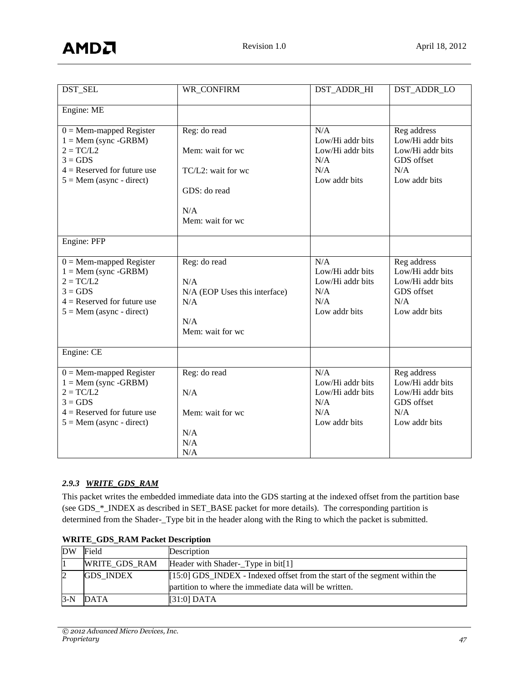| DST SEL                                                                                                                                                   | WR CONFIRM                                                                                        | DST ADDR HI                                                                | DST ADDR LO                                                                               |
|-----------------------------------------------------------------------------------------------------------------------------------------------------------|---------------------------------------------------------------------------------------------------|----------------------------------------------------------------------------|-------------------------------------------------------------------------------------------|
| Engine: ME                                                                                                                                                |                                                                                                   |                                                                            |                                                                                           |
| $0 =$ Mem-mapped Register<br>$1 =$ Mem (sync -GRBM)<br>$2 = TC/L2$<br>$3 = GDS$<br>$4 =$ Reserved for future use<br>$5 =$ Mem (async - direct)            | Reg: do read<br>Mem: wait for wc<br>TC/L2: wait for wc<br>GDS: do read<br>N/A<br>Mem: wait for wc | N/A<br>Low/Hi addr bits<br>Low/Hi addr bits<br>N/A<br>N/A<br>Low addr bits | Reg address<br>Low/Hi addr bits<br>Low/Hi addr bits<br>GDS offset<br>N/A<br>Low addr bits |
| Engine: PFP                                                                                                                                               |                                                                                                   |                                                                            |                                                                                           |
| $0 =$ Mem-mapped Register<br>$1 =$ Mem (sync -GRBM)<br>$2 = TC/L2$<br>$3 = GDS$<br>$4 =$ Reserved for future use<br>$5 =$ Mem (async - direct)            | Reg: do read<br>N/A<br>N/A (EOP Uses this interface)<br>N/A<br>N/A<br>Mem: wait for wc            | N/A<br>Low/Hi addr bits<br>Low/Hi addr bits<br>N/A<br>N/A<br>Low addr bits | Reg address<br>Low/Hi addr bits<br>Low/Hi addr bits<br>GDS offset<br>N/A<br>Low addr bits |
| Engine: CE                                                                                                                                                |                                                                                                   |                                                                            |                                                                                           |
| $\overline{0}$ = Mem-mapped Register<br>$1 =$ Mem (sync -GRBM)<br>$2 = TC/L2$<br>$3 = GDS$<br>$4 =$ Reserved for future use<br>$5 =$ Mem (async - direct) | Reg: do read<br>N/A<br>Mem: wait for wc<br>N/A<br>N/A<br>N/A                                      | N/A<br>Low/Hi addr bits<br>Low/Hi addr bits<br>N/A<br>N/A<br>Low addr bits | Reg address<br>Low/Hi addr bits<br>Low/Hi addr bits<br>GDS offset<br>N/A<br>Low addr bits |

## *2.9.3 WRITE\_GDS\_RAM*

This packet writes the embedded immediate data into the GDS starting at the indexed offset from the partition base (see GDS\_\*\_INDEX as described in SET\_BASE packet for more details). The corresponding partition is determined from the Shader-\_Type bit in the header along with the Ring to which the packet is submitted.

| DW    | Field                | Description                                                                                                                            |
|-------|----------------------|----------------------------------------------------------------------------------------------------------------------------------------|
|       | <b>WRITE GDS RAM</b> | Header with Shader-Type in bit[1]                                                                                                      |
|       | <b>GDS INDEX</b>     | $[15:0]$ GDS_INDEX - Indexed offset from the start of the segment within the<br>partition to where the immediate data will be written. |
| $3-N$ | <b>DATA</b>          | $[31:0]$ DATA                                                                                                                          |

## **WRITE\_GDS\_RAM Packet Description**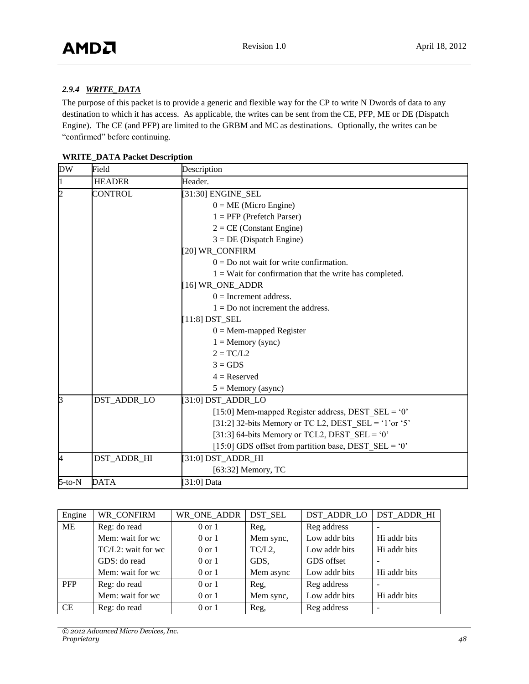## *2.9.4 WRITE\_DATA*

The purpose of this packet is to provide a generic and flexible way for the CP to write N Dwords of data to any destination to which it has access. As applicable, the writes can be sent from the CE, PFP, ME or DE (Dispatch Engine). The CE (and PFP) are limited to the GRBM and MC as destinations. Optionally, the writes can be "confirmed" before continuing.

|  |  |  | <b>WRITE_DATA Packet Description</b> |
|--|--|--|--------------------------------------|
|--|--|--|--------------------------------------|

| DW             | Field         | Description                                               |  |  |
|----------------|---------------|-----------------------------------------------------------|--|--|
| 1              | <b>HEADER</b> | Header.                                                   |  |  |
| $\overline{2}$ | CONTROL       | [31:30] ENGINE_SEL                                        |  |  |
|                |               | $0 = ME$ (Micro Engine)                                   |  |  |
|                |               | $1 = PFP$ (Prefetch Parser)                               |  |  |
|                |               | $2 = CE$ (Constant Engine)                                |  |  |
|                |               | $3 = DE$ (Dispatch Engine)                                |  |  |
|                |               | [20] WR_CONFIRM                                           |  |  |
|                |               | $0 = Do$ not wait for write confirmation.                 |  |  |
|                |               | $1 =$ Wait for confirmation that the write has completed. |  |  |
|                |               | [16] WR ONE ADDR                                          |  |  |
|                |               | $0 =$ Increment address.                                  |  |  |
|                |               | $1 = Do$ not increment the address.                       |  |  |
|                |               | $[11:8]$ DST_SEL                                          |  |  |
|                |               | $0 =$ Mem-mapped Register                                 |  |  |
|                |               | $1 =$ Memory (sync)                                       |  |  |
|                |               | $2 = TC/L2$                                               |  |  |
|                |               | $3 = GDS$                                                 |  |  |
|                |               | $4 =$ Reserved                                            |  |  |
|                |               | $5 =$ Memory (async)                                      |  |  |
| 3              | DST_ADDR_LO   | [31:0] DST_ADDR_LO                                        |  |  |
|                |               | [15:0] Mem-mapped Register address, DEST $SEL = '0'$      |  |  |
|                |               | [31:2] 32-bits Memory or TC L2, DEST SEL = '1'or '5'      |  |  |
|                |               | [31:3] 64-bits Memory or TCL2, DEST_SEL = '0'             |  |  |
|                |               | [15:0] GDS offset from partition base, DEST_SEL = '0'     |  |  |
| 4              | DST_ADDR_HI   | $[31:0]$ DST_ADDR_HI                                      |  |  |
|                |               | [63:32] Memory, $TC$                                      |  |  |
| $5$ -to- $N$   | <b>DATA</b>   | [ $31:0$ ] Data                                           |  |  |

| Engine     | WR CONFIRM         | WR ONE ADDR       | DST SEL   | DST_ADDR_LO   | DST ADDR HI  |
|------------|--------------------|-------------------|-----------|---------------|--------------|
| ME         | Reg: do read       | $0 \text{ or } 1$ | Reg,      | Reg address   |              |
|            | Mem: wait for wc   | $0 \text{ or } 1$ | Mem sync, | Low addr bits | Hi addr bits |
|            | TC/L2: wait for wc | $0 \text{ or } 1$ | TC/L2,    | Low addr bits | Hi addr bits |
|            | GDS: do read       | $0 \text{ or } 1$ | GDS,      | GDS offset    |              |
|            | Mem: wait for wc   | $0 \text{ or } 1$ | Mem async | Low addr bits | Hi addr bits |
| <b>PFP</b> | Reg: do read       | $0 \text{ or } 1$ | Reg.      | Reg address   |              |
|            | Mem: wait for wc   | $0 \text{ or } 1$ | Mem sync, | Low addr bits | Hi addr bits |
| <b>CE</b>  | Reg: do read       | $0 \text{ or } 1$ | Reg,      | Reg address   |              |